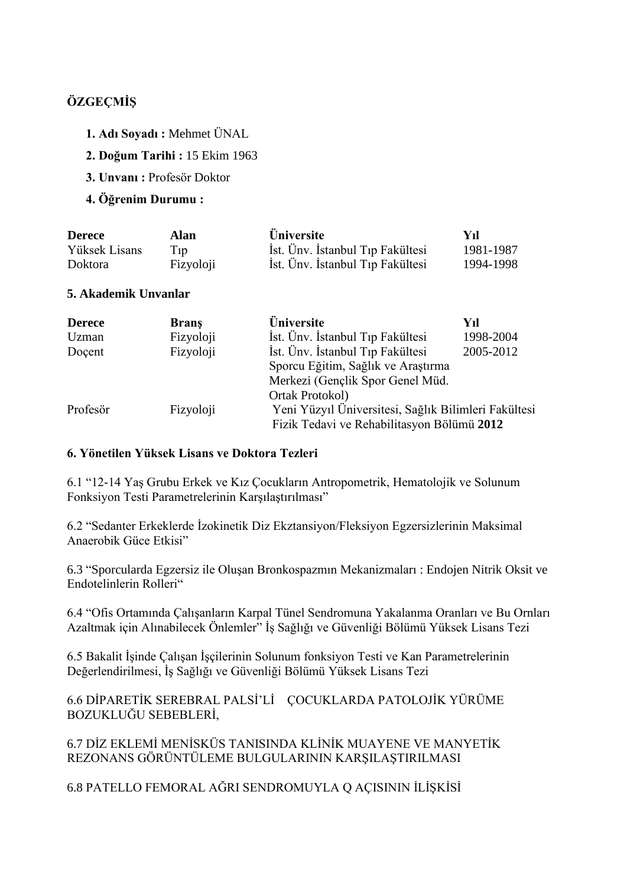# **ÖZGEÇMİŞ**

- **1. Adı Soyadı :** Mehmet ÜNAL
- **2. Doğum Tarihi :** 15 Ekim 1963
- **3. Unvanı :** Profesör Doktor
- **4. Öğrenim Durumu :**

| <b>Derece</b>  | Alan      | <b>Üniversite</b>                | Vıl       |
|----------------|-----------|----------------------------------|-----------|
| Yüksek Lisans  | $T_{1}p$  | İst. Ünv. İstanbul Tıp Fakültesi | 1981-1987 |
| <b>Doktora</b> | Fizyoloji | İst. Ünv. İstanbul Tıp Fakültesi | 1994-1998 |

### **5. Akademik Unvanlar**

| <b>Derece</b> | <b>Brans</b> | <b>Üniversite</b>                                                                                  | Yıl       |
|---------------|--------------|----------------------------------------------------------------------------------------------------|-----------|
| Uzman         | Fizyoloji    | İst. Ünv. İstanbul Tıp Fakültesi                                                                   | 1998-2004 |
| Docent        | Fizyoloji    | İst. Ünv. İstanbul Tıp Fakültesi                                                                   | 2005-2012 |
|               |              | Sporcu Eğitim, Sağlık ve Araştırma                                                                 |           |
|               |              | Merkezi (Gençlik Spor Genel Müd.                                                                   |           |
|               |              | Ortak Protokol)                                                                                    |           |
| Profesör      | Fizyoloji    | Yeni Yüzyıl Üniversitesi, Sağlık Bilimleri Fakültesi<br>Fizik Tedavi ve Rehabilitasyon Bölümü 2012 |           |

### **6. Yönetilen Yüksek Lisans ve Doktora Tezleri**

6.1 "12-14 Yaş Grubu Erkek ve Kız Çocukların Antropometrik, Hematolojik ve Solunum Fonksiyon Testi Parametrelerinin Karşılaştırılması"

6.2 "Sedanter Erkeklerde İzokinetik Diz Ekztansiyon/Fleksiyon Egzersizlerinin Maksimal Anaerobik Güce Etkisi"

6.3 "Sporcularda Egzersiz ile Oluşan Bronkospazmın Mekanizmaları : Endojen Nitrik Oksit ve Endotelinlerin Rolleri"

6.4 "Ofis Ortamında Çalışanların Karpal Tünel Sendromuna Yakalanma Oranları ve Bu Ornları Azaltmak için Alınabilecek Önlemler" İş Sağlığı ve Güvenliği Bölümü Yüksek Lisans Tezi

6.5 Bakalit İşinde Çalışan İşçilerinin Solunum fonksiyon Testi ve Kan Parametrelerinin Değerlendirilmesi, İş Sağlığı ve Güvenliği Bölümü Yüksek Lisans Tezi

6.6 DİPARETİK SEREBRAL PALSİ'Lİ ÇOCUKLARDA PATOLOJİK YÜRÜME BOZUKLUĞU SEBEBLERİ,

6.7 DİZ EKLEMİ MENİSKÜS TANISINDA KLİNİK MUAYENE VE MANYETİK REZONANS GÖRÜNTÜLEME BULGULARININ KARŞILAŞTIRILMASI

6.8 PATELLO FEMORAL AĞRI SENDROMUYLA Q AÇISININ İLİŞKİSİ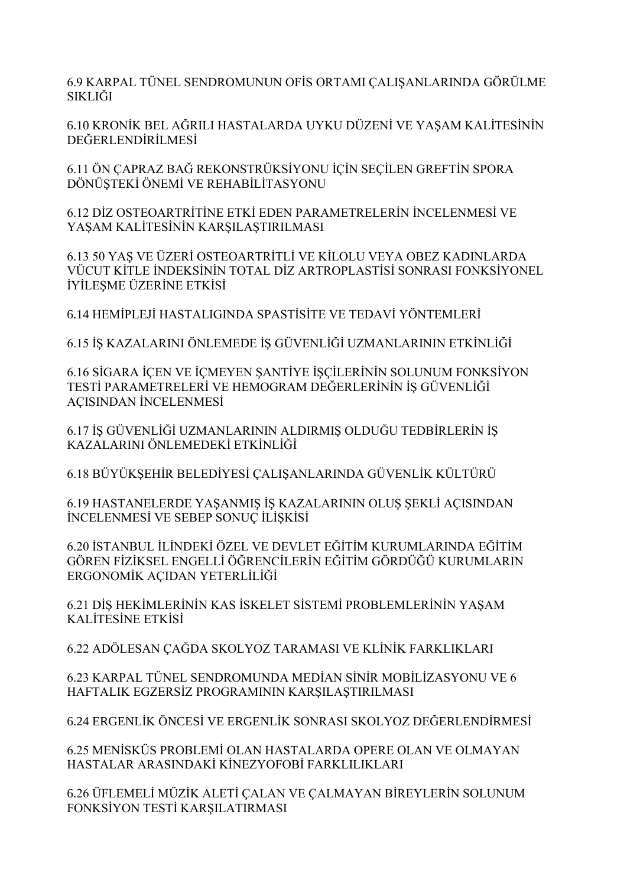6.9 KARPAL TÜNEL SENDROMUNUN OFİS ORTAMI ÇALIŞANLARINDA GÖRÜLME SIKLIĞI

6.10 KRONİK BEL AĞRILI HASTALARDA UYKU DÜZENİ VE YAŞAM KALİTESİNİN DEĞERLENDİRİLMESİ

6.11 ÖN ÇAPRAZ BAĞ REKONSTRÜKSİYONU İÇİN SEÇİLEN GREFTİN SPORA DÖNÜŞTEKİ ÖNEMİ VE REHABİLİTASYONU

6.12 DİZ OSTEOARTRİTİNE ETKİ EDEN PARAMETRELERİN İNCELENMESİ VE YASAM KALİTESİNİN KARSILASTIRILMASI

6.13 50 YAŞ VE ÜZERİ OSTEOARTRİTLİ VE KİLOLU VEYA OBEZ KADINLARDA VÜCUT KİTLE İNDEKSİNİN TOTAL DİZ ARTROPLASTİSİ SONRASI FONKSİYONEL İYİLEŞME ÜZERİNE ETKİSİ

6.14 HEMİPLEJİ HASTALIGINDA SPASTİSİTE VE TEDAVİ YÖNTEMLERİ

6.15 İŞ KAZALARINI ÖNLEMEDE İŞ GÜVENLİĞİ UZMANLARININ ETKİNLİĞİ

6.16 SİGARA İÇEN VE İÇMEYEN ŞANTİYE İŞÇİLERİNİN SOLUNUM FONKSİYON TESTİ PARAMETRELERİ VE HEMOGRAM DEĞERLERİNİN İŞ GÜVENLİĞİ AÇISINDAN İNCELENMESİ

6.17 İŞ GÜVENLİĞİ UZMANLARININ ALDIRMIŞ OLDUĞU TEDBİRLERİN İŞ KAZALARINI ÖNLEMEDEKİ ETKİNLİĞİ

6.18 BÜYÜKŞEHİR BELEDİYESİ ÇALIŞANLARINDA GÜVENLİK KÜLTÜRÜ

6.19 HASTANELERDE YAŞANMIŞ İŞ KAZALARININ OLUŞ ŞEKLİ AÇISINDAN İNCELENMESİ VE SEBEP SONUÇ İLİŞKİSİ

6.20 İSTANBUL İLİNDEKİ ÖZEL VE DEVLET EĞİTİM KURUMLARINDA EĞİTİM GÖREN FİZİKSEL ENGELLİ ÖĞRENCİLERİN EĞİTİM GÖRDÜĞÜ KURUMLARIN ERGONOMİK AÇIDAN YETERLİLİĞİ

6.21 DİŞ HEKİMLERİNİN KAS İSKELET SİSTEMİ PROBLEMLERİNİN YAŞAM KALİTESİNE ETKİSİ

6.22 ADÖLESAN ÇAĞDA SKOLYOZ TARAMASI VE KLİNİK FARKLIKLARI

6.23 KARPAL TÜNEL SENDROMUNDA MEDİAN SİNİR MOBİLİZASYONU VE 6 HAFTALIK EGZERSİZ PROGRAMININ KARŞILAŞTIRILMASI

6.24 ERGENLİK ÖNCESİ VE ERGENLİK SONRASI SKOLYOZ DEĞERLENDİRMESİ

6.25 MENİSKÜS PROBLEMİ OLAN HASTALARDA OPERE OLAN VE OLMAYAN HASTALAR ARASINDAKİ KİNEZYOFOBİ FARKLILIKLARI

6.26 ÜFLEMELİ MÜZİK ALETİ ÇALAN VE ÇALMAYAN BİREYLERİN SOLUNUM FONKSİYON TESTİ KARŞILATIRMASI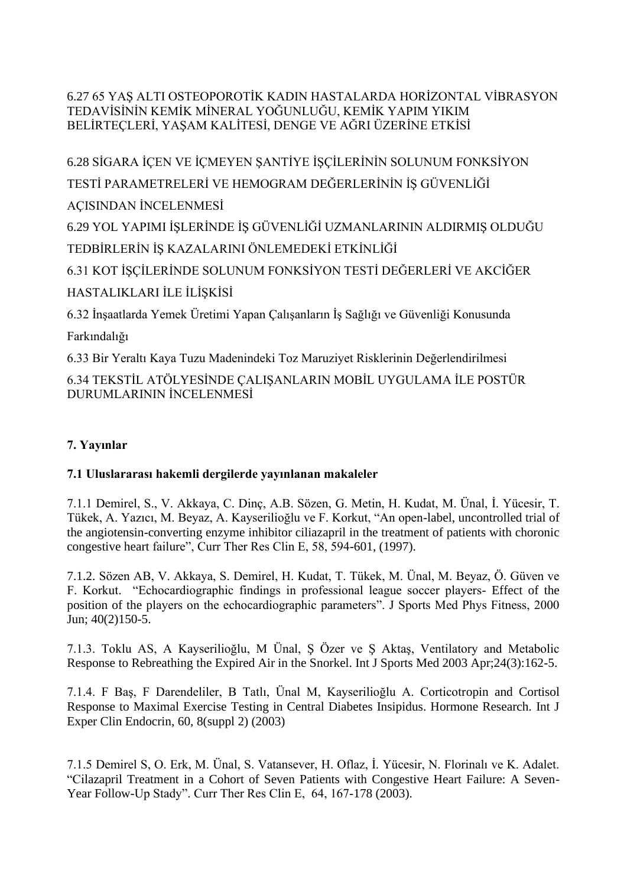6.27 65 YAŞ ALTI OSTEOPOROTİK KADIN HASTALARDA HORİZONTAL VİBRASYON TEDAVİSİNİN KEMİK MİNERAL YOĞUNLUĞU, KEMİK YAPIM YIKIM BELİRTEÇLERİ, YAŞAM KALİTESİ, DENGE VE AĞRI ÜZERİNE ETKİSİ

6.28 SİGARA İÇEN VE İÇMEYEN ŞANTİYE İŞÇİLERİNİN SOLUNUM FONKSİYON TESTİ PARAMETRELERİ VE HEMOGRAM DEĞERLERİNİN İŞ GÜVENLİĞİ AÇISINDAN İNCELENMESİ

6.29 YOL YAPIMI İŞLERİNDE İŞ GÜVENLİĞİ UZMANLARININ ALDIRMIŞ OLDUĞU TEDBİRLERİN İŞ KAZALARINI ÖNLEMEDEKİ ETKİNLİĞİ

6.31 KOT İŞÇİLERİNDE SOLUNUM FONKSİYON TESTİ DEĞERLERİ VE AKCİĞER HASTALIKLARI İLE İLİŞKİSİ

6.32 İnşaatlarda Yemek Üretimi Yapan Çalışanların İş Sağlığı ve Güvenliği Konusunda

Farkındalığı

6.33 Bir Yeraltı Kaya Tuzu Madenindeki Toz Maruziyet Risklerinin Değerlendirilmesi

6.34 TEKSTİL ATÖLYESİNDE ÇALIŞANLARIN MOBİL UYGULAMA İLE POSTÜR DURUMLARININ İNCELENMESİ

# **7. Yayınlar**

# **7.1 Uluslararası hakemli dergilerde yayınlanan makaleler**

7.1.1 Demirel, S., V. Akkaya, C. Dinç, A.B. Sözen, G. Metin, H. Kudat, M. Ünal, İ. Yücesir, T. Tükek, A. Yazıcı, M. Beyaz, A. Kayserilioğlu ve F. Korkut, "An open-label, uncontrolled trial of the angiotensin-converting enzyme inhibitor ciliazapril in the treatment of patients with choronic congestive heart failure", Curr Ther Res Clin E, 58, 594-601, (1997).

7.1.2. Sözen AB, V. Akkaya, S. Demirel, H. Kudat, T. Tükek, M. Ünal, M. Beyaz, Ö. Güven ve F. Korkut. "Echocardiographic findings in professional league soccer players- Effect of the position of the players on the echocardiographic parameters". J Sports Med Phys Fitness, 2000  $\bar{J}$ un: 40(2)150-5.

7.1.3. Toklu AS, A Kayserilioğlu, M Ünal, Ş Özer ve Ş Aktaş, Ventilatory and Metabolic Response to Rebreathing the Expired Air in the Snorkel. Int J Sports Med 2003 Apr;24(3):162-5.

7.1.4. F Baş, F Darendeliler, B Tatlı, Ünal M, Kayserilioğlu A. Corticotropin and Cortisol Response to Maximal Exercise Testing in Central Diabetes Insipidus. Hormone Research. Int J Exper Clin Endocrin, 60, 8(suppl 2) (2003)

7.1.5 Demirel S, O. Erk, M. Ünal, S. Vatansever, H. Oflaz, İ. Yücesir, N. Florinalı ve K. Adalet. "Cilazapril Treatment in a Cohort of Seven Patients with Congestive Heart Failure: A Seven-Year Follow-Up Stady". Curr Ther Res Clin E, 64, 167-178 (2003).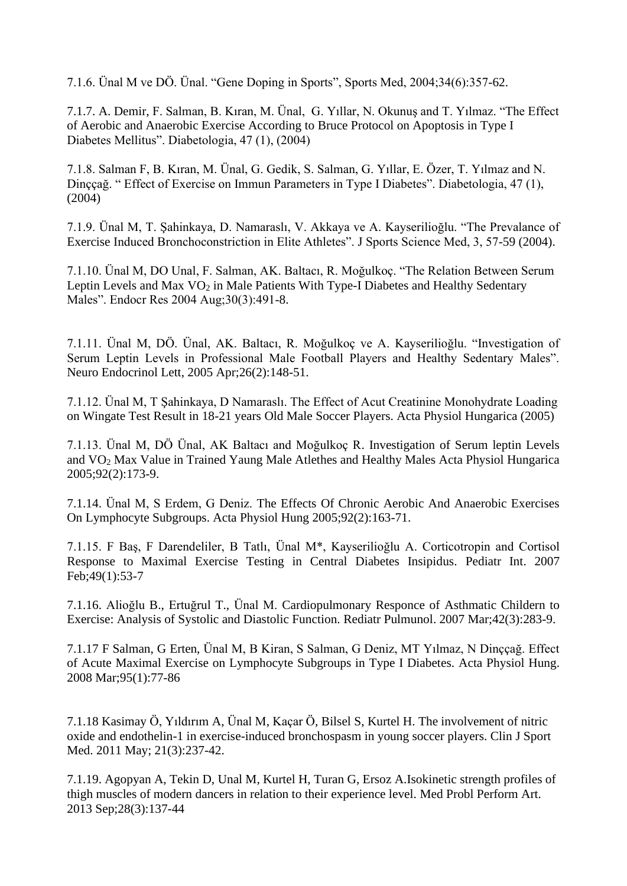7.1.6. Ünal M ve DÖ. Ünal. "Gene Doping in Sports", Sports Med, 2004;34(6):357-62.

7.1.7. A. Demir, F. Salman, B. Kıran, M. Ünal, G. Yıllar, N. Okunuş and T. Yılmaz. "The Effect of Aerobic and Anaerobic Exercise According to Bruce Protocol on Apoptosis in Type I Diabetes Mellitus". Diabetologia, 47 (1), (2004)

7.1.8. Salman F, B. Kıran, M. Ünal, G. Gedik, S. Salman, G. Yıllar, E. Özer, T. Yılmaz and N. Dinççağ. " Effect of Exercise on Immun Parameters in Type I Diabetes". Diabetologia, 47 (1), (2004)

7.1.9. Ünal M, T. Şahinkaya, D. Namaraslı, V. Akkaya ve A. Kayserilioğlu. "The Prevalance of Exercise Induced Bronchoconstriction in Elite Athletes". J Sports Science Med, 3, 57-59 (2004).

7.1.10. Ünal M, DO Unal, F. Salman, AK. Baltacı, R. Moğulkoç. "The Relation Between Serum Leptin Levels and Max  $VO<sub>2</sub>$  in Male Patients With Type-I Diabetes and Healthy Sedentary Males". Endocr Res 2004 Aug;30(3):491-8.

7.1.11. Ünal M, DÖ. Ünal, AK. Baltacı, R. Moğulkoç ve A. Kayserilioğlu. "Investigation of Serum Leptin Levels in Professional Male Football Players and Healthy Sedentary Males". Neuro Endocrinol Lett, 2005 Apr;26(2):148-51.

7.1.12. Ünal M, T Şahinkaya, D Namaraslı. The Effect of Acut Creatinine Monohydrate Loading on Wingate Test Result in 18-21 years Old Male Soccer Players. Acta Physiol Hungarica (2005)

7.1.13. Ünal M, DÖ Ünal, AK Baltacı and Moğulkoç R. Investigation of Serum leptin Levels and VO<sup>2</sup> Max Value in Trained Yaung Male Atlethes and Healthy Males Acta Physiol Hungarica 2005;92(2):173-9.

7.1.14. Ünal M, S Erdem, G Deniz. The Effects Of Chronic Aerobic And Anaerobic Exercises On Lymphocyte Subgroups. Acta Physiol Hung 2005;92(2):163-71.

7.1.15. F Baş, F Darendeliler, B Tatlı, Ünal M\*, Kayserilioğlu A. Corticotropin and Cortisol Response to Maximal Exercise Testing in Central Diabetes Insipidus. Pediatr Int. 2007 Feb;49(1):53-7

7.1.16. Alioğlu B., Ertuğrul T., Ünal M. Cardiopulmonary Responce of Asthmatic Childern to Exercise: Analysis of Systolic and Diastolic Function. Rediatr Pulmunol. 2007 Mar;42(3):283-9.

7.1.17 F Salman, G Erten, Ünal M, B Kiran, S Salman, G Deniz, MT Yılmaz, N Dinççağ. Effect of Acute Maximal Exercise on Lymphocyte Subgroups in Type I Diabetes. Acta Physiol Hung. 2008 Mar;95(1):77-86

7.1.18 [Kasimay](http://www.ncbi.nlm.nih.gov/pubmed?term=%22Kasimay%20%C3%96%22%5BAuthor%5D) Ö, [Yıldırım](http://www.ncbi.nlm.nih.gov/pubmed?term=%22Yildirim%20A%22%5BAuthor%5D) A, [Ünal M,](http://www.ncbi.nlm.nih.gov/pubmed?term=%22%C3%9Cnal%20M%22%5BAuthor%5D) [Kaçar Ö,](http://www.ncbi.nlm.nih.gov/pubmed?term=%22Ka%C3%A7ar%20%C3%96%22%5BAuthor%5D) [Bilsel S,](http://www.ncbi.nlm.nih.gov/pubmed?term=%22Bilsel%20S%22%5BAuthor%5D) [Kurtel H.](http://www.ncbi.nlm.nih.gov/pubmed?term=%22Kurtel%20H%22%5BAuthor%5D) The involvement of nitric oxide and endothelin-1 in exercise-induced bronchospasm in young soccer players. Clin J Sport Med. 2011 May; 21(3):237-42.

7.1.19. [Agopyan A,](http://www.ncbi.nlm.nih.gov/pubmed?term=Agopyan%20A%5BAuthor%5D&cauthor=true&cauthor_uid=24013285) [Tekin D,](http://www.ncbi.nlm.nih.gov/pubmed?term=Tekin%20D%5BAuthor%5D&cauthor=true&cauthor_uid=24013285) [Unal M,](http://www.ncbi.nlm.nih.gov/pubmed?term=Unal%20M%5BAuthor%5D&cauthor=true&cauthor_uid=24013285) [Kurtel H,](http://www.ncbi.nlm.nih.gov/pubmed?term=Kurtel%20H%5BAuthor%5D&cauthor=true&cauthor_uid=24013285) [Turan G,](http://www.ncbi.nlm.nih.gov/pubmed?term=Turan%20G%5BAuthor%5D&cauthor=true&cauthor_uid=24013285) [Ersoz A.](http://www.ncbi.nlm.nih.gov/pubmed?term=Ersoz%20A%5BAuthor%5D&cauthor=true&cauthor_uid=24013285)Isokinetic strength profiles of thigh muscles of modern dancers in relation to their experience level. [Med Probl Perform Art.](http://www.ncbi.nlm.nih.gov/pubmed/24013285) 2013 Sep;28(3):137-44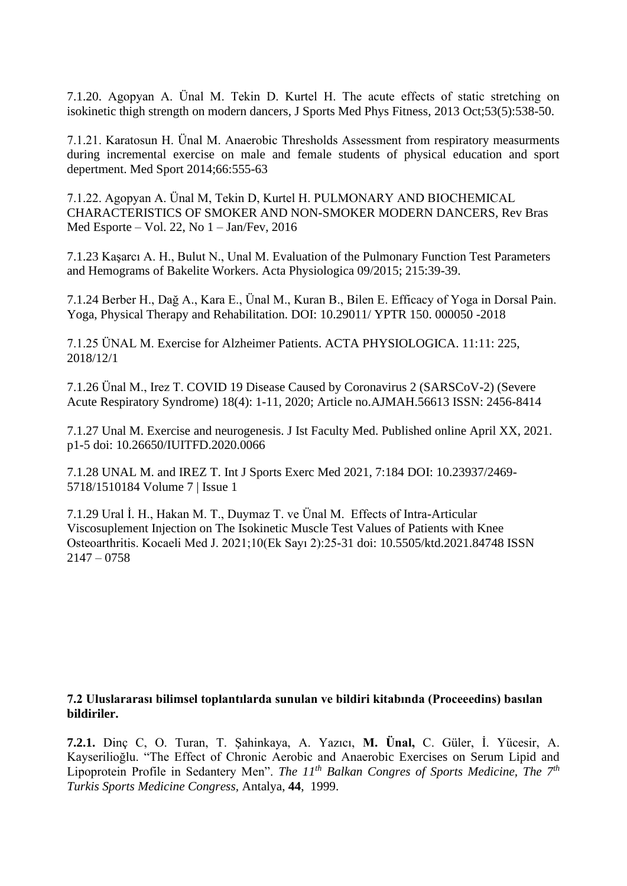7.1.20. Agopyan A. Ünal M. Tekin D. Kurtel H. The acute effects of static stretching on isokinetic thigh strength on modern dancers, J Sports Med Phys Fitness, 2013 Oct;53(5):538-50.

7.1.21. Karatosun H. Ünal M. Anaerobic Thresholds Assessment from respiratory measurments during incremental exercise on male and female students of physical education and sport depertment. Med Sport 2014;66:555-63

7.1.22. Agopyan A. Ünal M, Tekin D, Kurtel H. PULMONARY AND BIOCHEMICAL CHARACTERISTICS OF SMOKER AND NON-SMOKER MODERN DANCERS, Rev Bras Med Esporte – Vol. 22, No  $1 - \text{Jan/Fev}, 2016$ 

7.1.23 Kaşarcı A. H., Bulut N., Unal M. Evaluation of the Pulmonary Function Test Parameters and Hemograms of Bakelite Workers. Acta Physiologica 09/2015; 215:39-39.

7.1.24 Berber H., Dağ A., Kara E., Ünal M., Kuran B., Bilen E. Efficacy of Yoga in Dorsal Pain. Yoga, Physical Therapy and Rehabilitation. DOI: 10.29011/ YPTR 150. 000050 -2018

7.1.25 ÜNAL M. [Exercise for Alzheimer Patients.](https://scholar.google.com.tr/scholar?oi=bibs&cluster=9873624805062165909&btnI=1&hl=tr) ACTA PHYSIOLOGICA. 11:11: 225, 2018/12/1

7.1.26 Ünal M., Irez T. COVID 19 Disease Caused by Coronavirus 2 (SARSCoV-2) (Severe Acute Respiratory Syndrome) 18(4): 1-11, 2020; Article no.AJMAH.56613 ISSN: 2456-8414

7.1.27 Unal M. Exercise and neurogenesis. J Ist Faculty Med. Published online April XX, 2021. p1-5 doi: 10.26650/IUITFD.2020.0066

7.1.28 UNAL M. and IREZ T. Int J Sports Exerc Med 2021, 7:184 DOI: 10.23937/2469- 5718/1510184 Volume 7 | Issue 1

7.1.29 Ural İ. H., Hakan M. T., Duymaz T. ve Ünal M. Effects of Intra-Articular Viscosuplement Injection on The Isokinetic Muscle Test Values of Patients with Knee Osteoarthritis. Kocaeli Med J. 2021;10(Ek Sayı 2):25-31 doi: [10.5505/ktd.2021.84748](https://dx.doi.org/10.5505/ktd.2021.84748) ISSN  $2147 - 0758$ 

### **7.2 Uluslararası bilimsel toplantılarda sunulan ve bildiri kitabında (Proceeedins) basılan bildiriler.**

**7.2.1.** Dinç C, O. Turan, T. Şahinkaya, A. Yazıcı, **M. Ünal,** C. Güler, İ. Yücesir, A. Kayserilioğlu. "The Effect of Chronic Aerobic and Anaerobic Exercises on Serum Lipid and Lipoprotein Profile in Sedantery Men". *The 11th Balkan Congres of Sports Medicine, The 7th Turkis Sports Medicine Congress,* Antalya, **44**, 1999.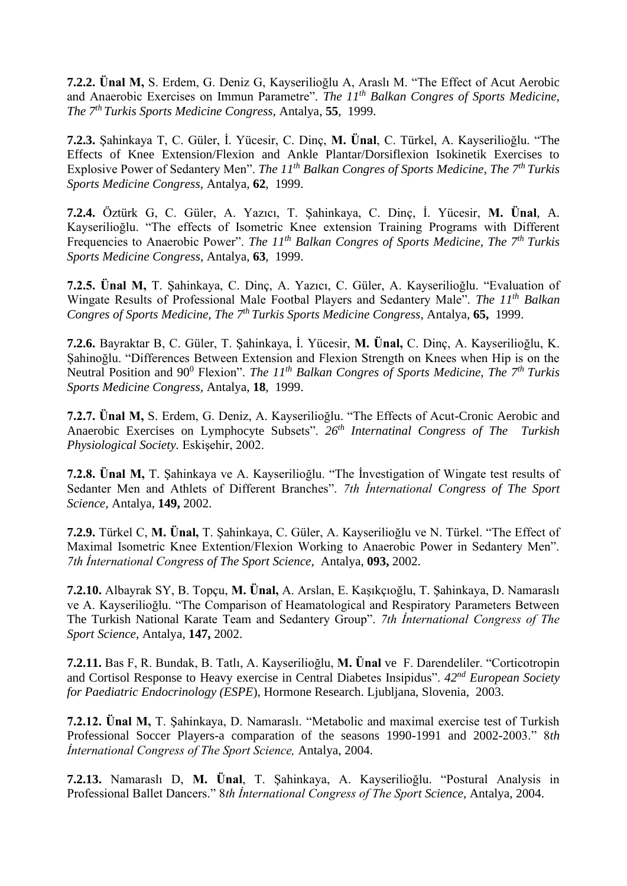**7.2.2. Ünal M,** S. Erdem, G. Deniz G, Kayserilioğlu A, Araslı M. "The Effect of Acut Aerobic and Anaerobic Exercises on Immun Parametre". *The 11th Balkan Congres of Sports Medicine, The 7th Turkis Sports Medicine Congress,* Antalya, **55**, 1999.

**7.2.3.** Şahinkaya T, C. Güler, İ. Yücesir, C. Dinç, **M. Ünal**, C. Türkel, A. Kayserilioğlu. "The Effects of Knee Extension/Flexion and Ankle Plantar/Dorsiflexion Isokinetik Exercises to Explosive Power of Sedantery Men". *The 11th Balkan Congres of Sports Medicine, The 7th Turkis Sports Medicine Congress,* Antalya, **62**, 1999.

**7.2.4.** Öztürk G, C. Güler, A. Yazıcı, T. Şahinkaya, C. Dinç, İ. Yücesir, **M. Ünal**, A. Kayserilioğlu. "The effects of Isometric Knee extension Training Programs with Different Frequencies to Anaerobic Power". *The 11th Balkan Congres of Sports Medicine, The 7th Turkis Sports Medicine Congress,* Antalya, **63**, 1999.

**7.2.5. Ünal M,** T. Şahinkaya, C. Dinç, A. Yazıcı, C. Güler, A. Kayserilioğlu. "Evaluation of Wingate Results of Professional Male Footbal Players and Sedantery Male". *The 11th Balkan Congres of Sports Medicine, The 7th Turkis Sports Medicine Congress,* Antalya, **65,** 1999.

**7.2.6.** Bayraktar B, C. Güler, T. Şahinkaya, İ. Yücesir, **M. Ünal,** C. Dinç, A. Kayserilioğlu, K. Şahinoğlu. "Differences Between Extension and Flexion Strength on Knees when Hip is on the Neutral Position and 90<sup>0</sup> Flexion". *The 11th Balkan Congres of Sports Medicine, The 7th Turkis Sports Medicine Congress,* Antalya, **18**, 1999.

**7.2.7. Ünal M,** S. Erdem, G. Deniz, A. Kayserilioğlu. "The Effects of Acut-Cronic Aerobic and Anaerobic Exercises on Lymphocyte Subsets". *26th Internatinal Congress of The Turkish Physiological Society.* Eskişehir, 2002.

**7.2.8. Ünal M,** T. Şahinkaya ve A. Kayserilioğlu. "The İnvestigation of Wingate test results of Sedanter Men and Athlets of Different Branches". *7th İnternational Congress of The Sport Science,* Antalya, **149,** 2002.

**7.2.9.** Türkel C, **M. Ünal,** T. Şahinkaya, C. Güler, A. Kayserilioğlu ve N. Türkel. "The Effect of Maximal Isometric Knee Extention/Flexion Working to Anaerobic Power in Sedantery Men". *7th İnternational Congress of The Sport Science,* Antalya, **093,** 2002.

**7.2.10.** Albayrak SY, B. Topçu, **M. Ünal,** A. Arslan, E. Kaşıkçıoğlu, T. Şahinkaya, D. Namaraslı ve A. Kayserilioğlu. "The Comparison of Heamatological and Respiratory Parameters Between The Turkish National Karate Team and Sedantery Group". *7th İnternational Congress of The Sport Science,* Antalya, **147,** 2002.

**7.2.11.** Bas F, R. Bundak, B. Tatlı, A. Kayserilioğlu, **M. Ünal** ve F. Darendeliler. "Corticotropin and Cortisol Response to Heavy exercise in Central Diabetes Insipidus". *42nd European Society for Paediatric Endocrinology (ESPE*), Hormone Research. Ljubljana, Slovenia, 2003.

**7.2.12. Ünal M,** T. Şahinkaya, D. Namaraslı. "Metabolic and maximal exercise test of Turkish Professional Soccer Players-a comparation of the seasons 1990-1991 and 2002-2003." 8*th İnternational Congress of The Sport Science,* Antalya, 2004.

**7.2.13.** Namaraslı D, **M. Ünal**, T. Şahinkaya, A. Kayserilioğlu. "Postural Analysis in Professional Ballet Dancers." 8*th İnternational Congress of The Sport Science,* Antalya, 2004.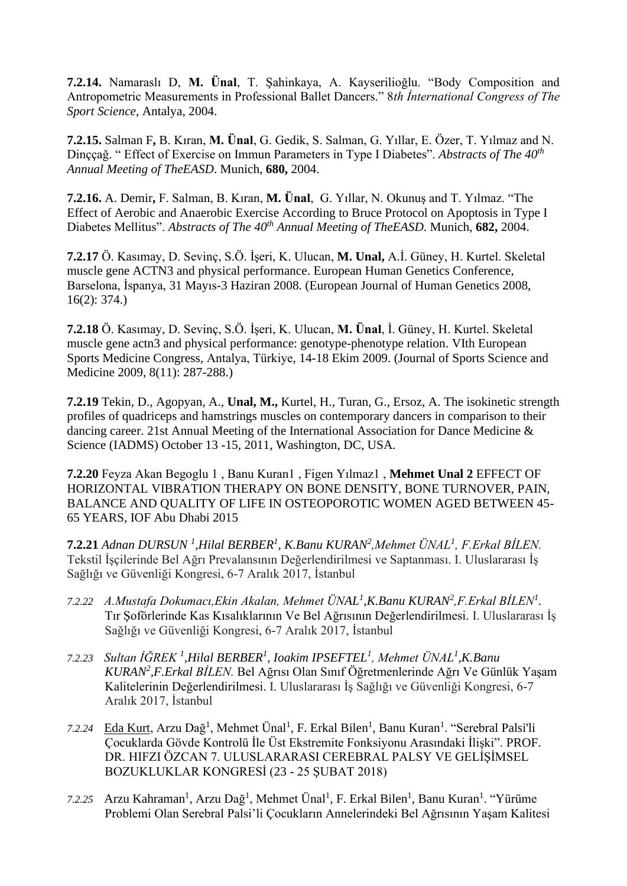**7.2.14.** Namaraslı D, **M. Ünal**, T. Şahinkaya, A. Kayserilioğlu. "Body Composition and Antropometric Measurements in Professional Ballet Dancers." 8*th İnternational Congress of The Sport Science,* Antalya, 2004.

**7.2.15.** Salman F**,** B. Kıran, **M. Ünal**, G. Gedik, S. Salman, G. Yıllar, E. Özer, T. Yılmaz and N. Dinççağ. " Effect of Exercise on Immun Parameters in Type I Diabetes". *Abstracts of The 40th Annual Meeting of TheEASD*. Munich, **680,** 2004.

**7.2.16.** A. Demir**,** F. Salman, B. Kıran, **M. Ünal**, G. Yıllar, N. Okunuş and T. Yılmaz. "The Effect of Aerobic and Anaerobic Exercise According to Bruce Protocol on Apoptosis in Type I Diabetes Mellitus". *Abstracts of The 40th Annual Meeting of TheEASD*. Munich, **682,** 2004.

**7.2.17** Ö. Kasımay, D. Sevinç, S.Ö. İşeri, K. Ulucan, **M. Unal,** A.İ. Güney, H. Kurtel. Skeletal muscle gene ACTN3 and physical performance. European Human Genetics Conference, Barselona, İspanya, 31 Mayıs-3 Haziran 2008. (European Journal of Human Genetics 2008, 16(2): 374.)

**7.2.18** Ö. Kasımay, D. Sevinç, S.Ö. İşeri, K. Ulucan, **M. Ünal**, İ. Güney, H. Kurtel. Skeletal muscle gene actn3 and physical performance: genotype-phenotype relation. VIth European Sports Medicine Congress, Antalya, Türkiye, 14-18 Ekim 2009. (Journal of Sports Science and Medicine 2009, 8(11): 287-288.)

**7.2.19** Tekin, D., Agopyan, A., **Unal, M.,** Kurtel, H., Turan, G., Ersoz, A. The isokinetic strength profiles of quadriceps and hamstrings muscles on contemporary dancers in comparison to their dancing career. 21st Annual Meeting of the International Association for Dance Medicine & Science (IADMS) October 13 -15, 2011, Washington, DC, USA*.*

**7.2.20** Feyza Akan Begoglu 1 , Banu Kuran1 , Figen Yılmaz1 , **Mehmet Unal 2** EFFECT OF HORIZONTAL VIBRATION THERAPY ON BONE DENSITY, BONE TURNOVER, PAIN, BALANCE AND QUALITY OF LIFE IN OSTEOPOROTIC WOMEN AGED BETWEEN 45- 65 YEARS, IOF Abu Dhabi 2015

**7.2.21** *Adnan DURSUN <sup>1</sup> ,Hilal BERBER<sup>1</sup> , K.Banu KURAN<sup>2</sup> ,Mehmet ÜNAL<sup>1</sup> , F.Erkal BİLEN.*  Tekstil İşçilerinde Bel Ağrı Prevalansının Değerlendirilmesi ve Saptanması. I. Uluslararası İş Sağlığı ve Güvenliği Kongresi, 6-7 Aralık 2017, İstanbul

- *7.2.22 A.Mustafa Dokumacı,Ekin Akalan, Mehmet ÜNAL<sup>1</sup> ,K.Banu KURAN<sup>2</sup> ,F.Erkal BİLEN<sup>1</sup> .*  Tır Şoförlerinde Kas Kısalıklarının Ve Bel Ağrısının Değerlendirilmesi. I. Uluslararası İş Sağlığı ve Güvenliği Kongresi, 6-7 Aralık 2017, İstanbul
- *7.2.23 Sultan İĞREK <sup>1</sup> ,Hilal BERBER<sup>1</sup> , Ioakim IPSEFTEL<sup>1</sup> , Mehmet ÜNAL<sup>1</sup> ,K.Banu KURAN<sup>2</sup> ,F.Erkal BİLEN.* Bel Ağrısı Olan Sınıf Öğretmenlerinde Ağrı Ve Günlük Yaşam Kalitelerinin Değerlendirilmesi. I. Uluslararası İş Sağlığı ve Güvenliği Kongresi, 6-7 Aralık 2017, İstanbul
- 7.2.24 Eda Kurt, Arzu Dağ<sup>1</sup>, Mehmet Ünal<sup>1</sup>, F. Erkal Bilen<sup>1</sup>, Banu Kuran<sup>1</sup>. "Serebral Palsi'li Çocuklarda Gövde Kontrolü İle Üst Ekstremite Fonksiyonu Arasındaki İlişki". PROF. DR. HIFZI ÖZCAN 7. ULUSLARARASI CEREBRAL PALSY VE GELİŞİMSEL BOZUKLUKLAR KONGRESİ (23 - 25 ŞUBAT 2018)
- 7.2.25 Arzu Kahraman<sup>1</sup>, Arzu Dağ<sup>1</sup>, Mehmet Ünal<sup>1</sup>, F. Erkal Bilen<sup>1</sup>, Banu Kuran<sup>1</sup>. "Yürüme Problemi Olan Serebral Palsi'li Çocukların Annelerindeki Bel Ağrısının Yaşam Kalitesi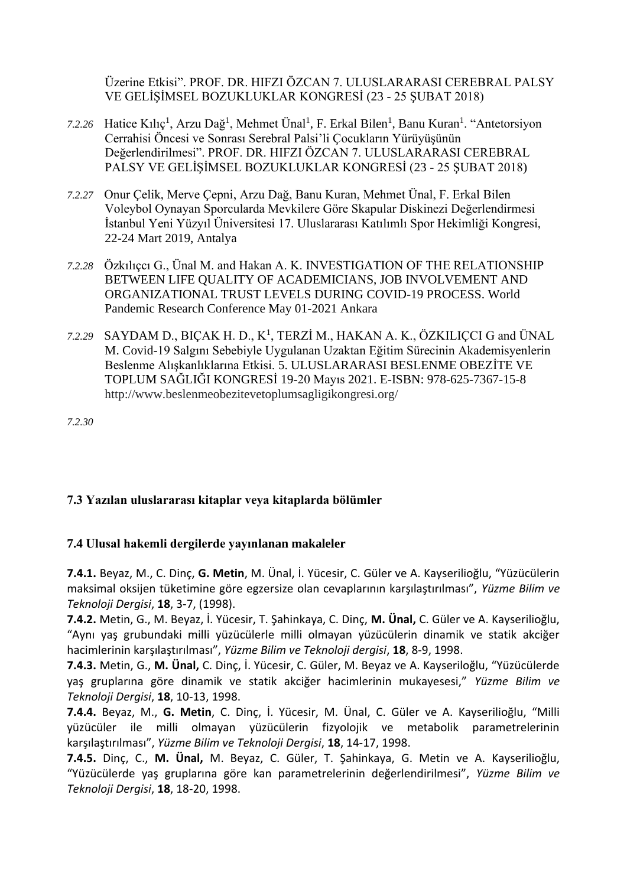Üzerine Etkisi". PROF. DR. HIFZI ÖZCAN 7. ULUSLARARASI CEREBRAL PALSY VE GELİŞİMSEL BOZUKLUKLAR KONGRESİ (23 - 25 ŞUBAT 2018)

- 7.2.26 Hatice Kılıç<sup>1</sup>, Arzu Dağ<sup>1</sup>, Mehmet Ünal<sup>1</sup>, F. Erkal Bilen<sup>1</sup>, Banu Kuran<sup>1</sup>. "Antetorsiyon Cerrahisi Öncesi ve Sonrası Serebral Palsi'li Çocukların Yürüyüşünün Değerlendirilmesi". PROF. DR. HIFZI ÖZCAN 7. ULUSLARARASI CEREBRAL PALSY VE GELİŞİMSEL BOZUKLUKLAR KONGRESİ (23 - 25 ŞUBAT 2018)
- *7.2.27* Onur Çelik, Merve Çepni, Arzu Dağ, Banu Kuran, Mehmet Ünal, F. Erkal Bilen Voleybol Oynayan Sporcularda Mevkilere Göre Skapular Diskinezi Değerlendirmesi İstanbul Yeni Yüzyıl Üniversitesi 17. Uluslararası Katılımlı Spor Hekimliği Kongresi, 22-24 Mart 2019, Antalya
- *7.2.28* Özkılıçcı G., Ünal M. and Hakan A. K. INVESTIGATION OF THE RELATIONSHIP BETWEEN LIFE QUALITY OF ACADEMICIANS, JOB INVOLVEMENT AND ORGANIZATIONAL TRUST LEVELS DURING COVID-19 PROCESS. World Pandemic Research Conference May 01-2021 Ankara
- 7.2.29 SAYDAM D., BIÇAK H. D., K<sup>1</sup>, TERZİ M., HAKAN A. K., ÖZKILIÇCI G and ÜNAL M. Covid-19 Salgını Sebebiyle Uygulanan Uzaktan Eğitim Sürecinin Akademisyenlerin Beslenme Alışkanlıklarına Etkisi. 5. ULUSLARARASI BESLENME OBEZİTE VE TOPLUM SAĞLIĞI KONGRESİ 19-20 Mayıs 2021. E-ISBN: 978-625-7367-15-8 [http://www.beslenmeobezitevetoplumsagligikongresi.org/](https://www.kongreuzmani.com/5-uluslararasi-beslenme-obezite-ve-toplum-sagligi-kongresi.html)

*7.2.30*

### **7.3 Yazılan uluslararası kitaplar veya kitaplarda bölümler**

### **7.4 Ulusal hakemli dergilerde yayınlanan makaleler**

**7.4.1.** Beyaz, M., C. Dinç, **G. Metin**, M. Ünal, İ. Yücesir, C. Güler ve A. Kayserilioğlu, "Yüzücülerin maksimal oksijen tüketimine göre egzersize olan cevaplarının karşılaştırılması", *Yüzme Bilim ve Teknoloji Dergisi*, **18**, 3-7, (1998).

**7.4.2.** Metin, G., M. Beyaz, İ. Yücesir, T. Şahinkaya, C. Dinç, **M. Ünal,** C. Güler ve A. Kayserilioğlu, "Aynı yaş grubundaki milli yüzücülerle milli olmayan yüzücülerin dinamik ve statik akciğer hacimlerinin karşılaştırılması", *Yüzme Bilim ve Teknoloji dergisi*, **18**, 8-9, 1998.

**7.4.3.** Metin, G., **M. Ünal,** C. Dinç, İ. Yücesir, C. Güler, M. Beyaz ve A. Kayseriloğlu, "Yüzücülerde yaş gruplarına göre dinamik ve statik akciğer hacimlerinin mukayesesi," *Yüzme Bilim ve Teknoloji Dergisi*, **18**, 10-13, 1998.

**7.4.4.** Beyaz, M., **G. Metin**, C. Dinç, İ. Yücesir, M. Ünal, C. Güler ve A. Kayserilioğlu, "Milli yüzücüler ile milli olmayan yüzücülerin fizyolojik ve metabolik parametrelerinin karşılaştırılması", *Yüzme Bilim ve Teknoloji Dergisi*, **18**, 14-17, 1998.

**7.4.5.** Dinç, C., **M. Ünal,** M. Beyaz, C. Güler, T. Şahinkaya, G. Metin ve A. Kayserilioğlu, "Yüzücülerde yaş gruplarına göre kan parametrelerinin değerlendirilmesi", *Yüzme Bilim ve Teknoloji Dergisi*, **18**, 18-20, 1998.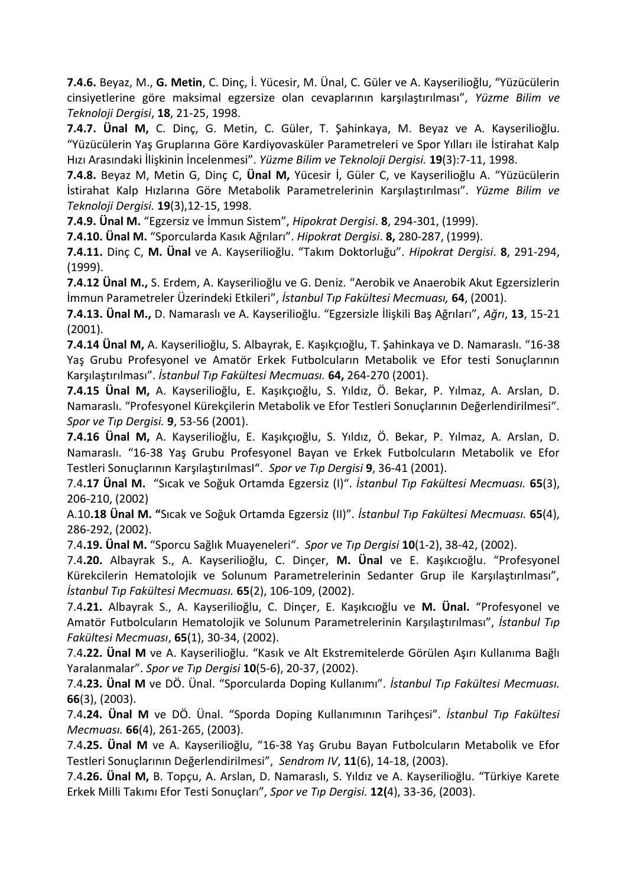**7.4.6.** Beyaz, M., **G. Metin**, C. Dinç, İ. Yücesir, M. Ünal, C. Güler ve A. Kayserilioğlu, "Yüzücülerin cinsiyetlerine göre maksimal egzersize olan cevaplarının karşılaştırılması", *Yüzme Bilim ve Teknoloji Dergisi*, **18**, 21-25, 1998.

**7.4.7. Ünal M,** C. Dinç, G. Metin, C. Güler, T. Şahinkaya, M. Beyaz ve A. Kayserilioğlu. "Yüzücülerin Yaş Gruplarına Göre Kardiyovasküler Parametreleri ve Spor Yılları ile İstirahat Kalp Hızı Arasındaki İlişkinin İncelenmesi". *Yüzme Bilim ve Teknoloji Dergisi.* **19**(3):7-11, 1998.

**7.4.8.** Beyaz M, Metin G, Dinç C, **Ünal M,** Yücesir İ, Güler C, ve Kayserilioğlu A. "Yüzücülerin İstirahat Kalp Hızlarına Göre Metabolik Parametrelerinin Karşılaştırılması". *Yüzme Bilim ve Teknoloji Dergisi.* **19**(3),12-15, 1998.

**7.4.9. Ünal M.** "Egzersiz ve İmmun Sistem", *Hipokrat Dergisi*. **8**, 294-301, (1999).

**7.4.10. Ünal M.** "Sporcularda Kasık Ağrıları". *Hipokrat Dergisi*. **8,** 280-287, (1999).

**7.4.11.** Dinç C, **M. Ünal** ve A. Kayserilioğlu. "Takım Doktorluğu". *Hipokrat Dergisi*. **8**, 291-294, (1999).

**7.4.12 Ünal M.,** S. Erdem, A. Kayserilioğlu ve G. Deniz. "Aerobik ve Anaerobik Akut Egzersizlerin İmmun Parametreler Üzerindeki Etkileri", *İstanbul Tıp Fakültesi Mecmuası,* **64**, (2001).

**7.4.13. Ünal M.,** D. Namaraslı ve A. Kayserilioğlu. "Egzersizle İlişkili Baş Ağrıları", *Ağrı*, **13**, 15-21 (2001).

**7.4.14 Ünal M,** A. Kayserilioğlu, S. Albayrak, E. Kaşıkçıoğlu, T. Şahinkaya ve D. Namaraslı. "16-38 Yaş Grubu Profesyonel ve Amatör Erkek Futbolcuların Metabolik ve Efor testi Sonuçlarının Karşılaştırılması". *İstanbul Tıp Fakültesi Mecmuası.* **64,** 264-270 (2001).

**7.4.15 Ünal M,** A. Kayserilioğlu, E. Kaşıkçıoğlu, S. Yıldız, Ö. Bekar, P. Yılmaz, A. Arslan, D. Namaraslı. "Profesyonel Kürekçilerin Metabolik ve Efor Testleri Sonuçlarının Değerlendirilmesi". *Spor ve Tıp Dergisi.* **9**, 53-56 (2001).

**7.4.16 Ünal M,** A. Kayserilioğlu, E. Kaşıkçıoğlu, S. Yıldız, Ö. Bekar, P. Yılmaz, A. Arslan, D. Namaraslı. "16-38 Yaş Grubu Profesyonel Bayan ve Erkek Futbolcuların Metabolik ve Efor Testleri Sonuçlarının KarşılaştırılmasI". *Spor ve Tıp Dergisi* **9**, 36-41 (2001).

7.4**.17 Ünal M.** "Sıcak ve Soğuk Ortamda Egzersiz (I)". *İstanbul Tıp Fakültesi Mecmuası.* **65**(3), 206-210, (2002)

A.10**.18 Ünal M. "**Sıcak ve Soğuk Ortamda Egzersiz (II)". *İstanbul Tıp Fakültesi Mecmuası.* **65**(4), 286-292, (2002).

7.4**.19. Ünal M.** "Sporcu Sağlık Muayeneleri". *Spor ve Tıp Dergisi* **10**(1-2), 38-42, (2002).

7.4**.20.** Albayrak S., A. Kayserilioğlu, C. Dinçer, **M. Ünal** ve E. Kaşıkcıoğlu. "Profesyonel Kürekcilerin Hematolojik ve Solunum Parametrelerinin Sedanter Grup ile Karşılaştırılması", *İstanbul Tıp Fakültesi Mecmuası.* **65**(2), 106-109, (2002).

7.4**.21.** Albayrak S., A. Kayserilioğlu, C. Dinçer, E. Kaşıkcıoğlu ve **M. Ünal.** "Profesyonel ve Amatör Futbolcuların Hematolojik ve Solunum Parametrelerinin Karşılaştırılması", *İstanbul Tıp Fakültesi Mecmuası*, **65**(1), 30-34, (2002).

7.4**.22. Ünal M** ve A. Kayserilioğlu. "Kasık ve Alt Ekstremitelerde Görülen Aşırı Kullanıma Bağlı Yaralanmalar". *Spor ve Tıp Dergisi* **10**(5-6), 20-37, (2002).

7.4**.23. Ünal M** ve DÖ. Ünal. "Sporcularda Doping Kullanımı". *İstanbul Tıp Fakültesi Mecmuası.* **66**(3), (2003).

7.4**.24. Ünal M** ve DÖ. Ünal. "Sporda Doping Kullanımının Tarihçesi". *İstanbul Tıp Fakültesi Mecmuası.* **66**(4), 261-265, (2003).

7.4**.25. Ünal M** ve A. Kayserilioğlu, "16-38 Yaş Grubu Bayan Futbolcuların Metabolik ve Efor Testleri Sonuçlarının Değerlendirilmesi", *Sendrom IV*, **11**(6), 14-18, (2003).

7.4**.26. Ünal M,** B. Topçu, A. Arslan, D. Namaraslı, S. Yıldız ve A. Kayserilioğlu. "Türkiye Karete Erkek Milli Takımı Efor Testi Sonuçları", *Spor ve Tıp Dergisi.* **12(**4), 33-36, (2003).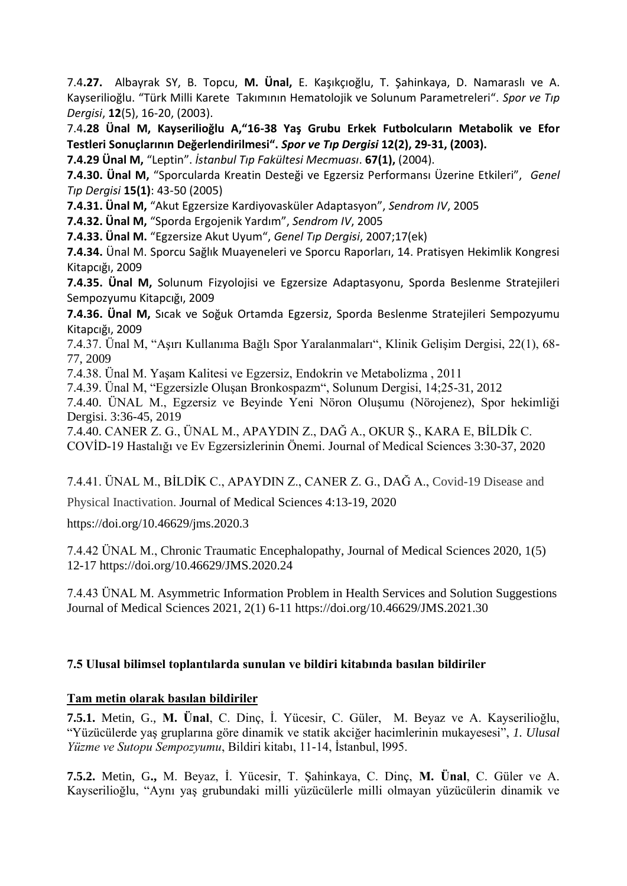7.4**.27.** Albayrak SY, B. Topcu, **M. Ünal,** E. Kaşıkçıoğlu, T. Şahinkaya, D. Namaraslı ve A. Kayserilioğlu. "Türk Milli Karete Takımının Hematolojik ve Solunum Parametreleri". *Spor ve Tıp Dergisi*, **12**(5), 16-20, (2003).

7.4**.28 Ünal M, Kayserilioğlu A,"16-38 Yaş Grubu Erkek Futbolcuların Metabolik ve Efor Testleri Sonuçlarının Değerlendirilmesi".** *Spor ve Tıp Dergisi* **12(2), 29-31, (2003).** 

**7.4.29 Ünal M,** "Leptin". *İstanbul Tıp Fakültesi Mecmuası*. **67(1),** (2004).

**7.4.30. Ünal M,** "Sporcularda Kreatin Desteği ve Egzersiz Performansı Üzerine Etkileri", *Genel Tıp Dergisi* **15(1)**: 43-50 (2005)

**7.4.31. Ünal M,** "Akut Egzersize Kardiyovasküler Adaptasyon", *Sendrom IV*, 2005

**7.4.32. Ünal M,** "Sporda Ergojenik Yardım", *Sendrom IV*, 2005

**7.4.33. Ünal M.** "Egzersize Akut Uyum", *Genel Tıp Dergisi*, 2007;17(ek)

**7.4.34.** Ünal M. Sporcu Sağlık Muayeneleri ve Sporcu Raporları, 14. Pratisyen Hekimlik Kongresi Kitapcığı, 2009

**7.4.35. Ünal M,** Solunum Fizyolojisi ve Egzersize Adaptasyonu, Sporda Beslenme Stratejileri Sempozyumu Kitapcığı, 2009

**7.4.36. Ünal M,** Sıcak ve Soğuk Ortamda Egzersiz, Sporda Beslenme Stratejileri Sempozyumu Kitapcığı, 2009

7.4.37. Ünal M, "Aşırı Kullanıma Bağlı Spor Yaralanmaları", Klinik Gelişim Dergisi, 22(1), 68- 77, 2009

7.4.38. Ünal M. Yaşam Kalitesi ve Egzersiz, Endokrin ve Metabolizma , 2011

7.4.39. Ünal M, "Egzersizle Oluşan Bronkospazm", Solunum Dergisi, 14;25-31, 2012

7.4.40. ÜNAL M., Egzersiz ve Beyinde Yeni Nöron Oluşumu (Nörojenez), Spor hekimliği Dergisi. 3:36-45, 2019

7.4.40. CANER Z. G., ÜNAL M., APAYDIN Z., DAĞ A., OKUR Ş., KARA E, BİLDİk C. COVİD-19 Hastalığı ve Ev Egzersizlerinin Önemi. Journal of Medical Sciences 3:30-37, 2020

7.4.41. ÜNAL M., BİLDİK C., APAYDIN Z., CANER Z. G., DAĞ A., Covid-19 Disease and

Physical Inactivation. Journal of Medical Sciences 4:13-19, 2020

https://doi.org/10.46629/jms.2020.3

7.4.42 ÜNAL M., Chronic Traumatic Encephalopathy, Journal of Medical Sciences 2020, 1(5) 12-17 https://doi.org/10.46629/JMS.2020.24

7.4.43 ÜNAL M. Asymmetric Information Problem in Health Services and Solution Suggestions Journal of Medical Sciences 2021, 2(1) 6-11 https://doi.org/10.46629/JMS.2021.30

### **7.5 Ulusal bilimsel toplantılarda sunulan ve bildiri kitabında basılan bildiriler**

### **Tam metin olarak basılan bildiriler**

**7.5.1.** Metin, G., **M. Ünal**, C. Dinç, İ. Yücesir, C. Güler, M. Beyaz ve A. Kayserilioğlu, "Yüzücülerde yaş gruplarına göre dinamik ve statik akciğer hacimlerinin mukayesesi", *1. Ulusal Yüzme ve Sutopu Sempozyumu*, Bildiri kitabı, 11-14, İstanbul, l995.

**7.5.2.** Metin, G**.,** M. Beyaz, İ. Yücesir, T. Şahinkaya, C. Dinç, **M. Ünal**, C. Güler ve A. Kayserilioğlu, "Aynı yaş grubundaki milli yüzücülerle milli olmayan yüzücülerin dinamik ve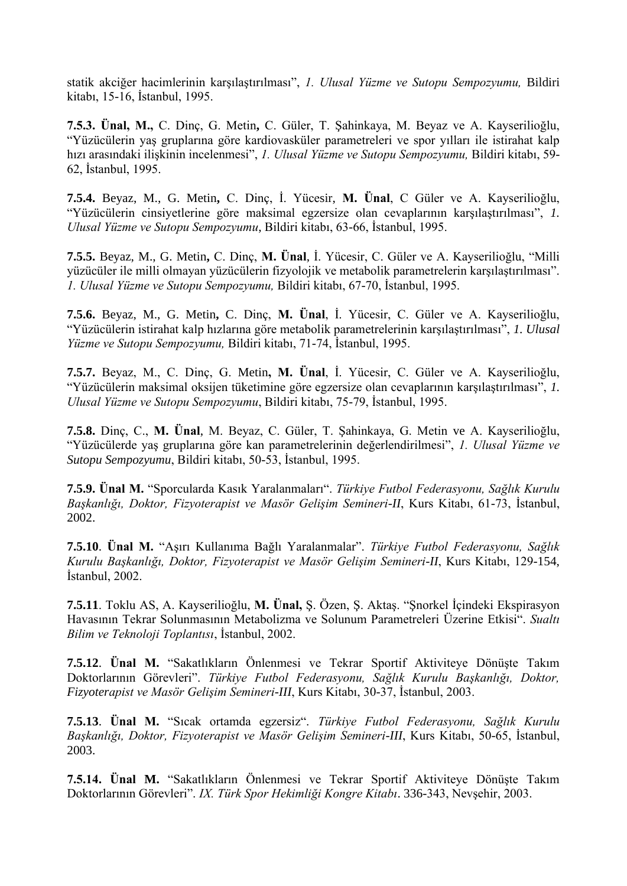statik akciğer hacimlerinin karşılaştırılması", *1. Ulusal Yüzme ve Sutopu Sempozyumu,* Bildiri kitabı, 15-16, İstanbul, 1995.

**7.5.3. Ünal, M.,** C. Dinç, G. Metin**,** C. Güler, T. Şahinkaya, M. Beyaz ve A. Kayserilioğlu, "Yüzücülerin yaş gruplarına göre kardiovasküler parametreleri ve spor yılları ile istirahat kalp hızı arasındaki ilişkinin incelenmesi", *1. Ulusal Yüzme ve Sutopu Sempozyumu,* Bildiri kitabı, 59- 62, İstanbul, 1995.

**7.5.4.** Beyaz, M., G. Metin**,** C. Dinç, İ. Yücesir, **M. Ünal**, C Güler ve A. Kayserilioğlu, "Yüzücülerin cinsiyetlerine göre maksimal egzersize olan cevaplarının karşılaştırılması", *1. Ulusal Yüzme ve Sutopu Sempozyumu*, Bildiri kitabı, 63-66, İstanbul, 1995.

**7.5.5.** Beyaz, M., G. Metin**,** C. Dinç, **M. Ünal**, İ. Yücesir, C. Güler ve A. Kayserilioğlu, "Milli yüzücüler ile milli olmayan yüzücülerin fizyolojik ve metabolik parametrelerin karşılaştırılması". *1. Ulusal Yüzme ve Sutopu Sempozyumu,* Bildiri kitabı, 67-70, İstanbul, 1995.

**7.5.6.** Beyaz, M., G. Metin**,** C. Dinç, **M. Ünal**, İ. Yücesir, C. Güler ve A. Kayserilioğlu, "Yüzücülerin istirahat kalp hızlarına göre metabolik parametrelerinin karşılaştırılması", *1. Ulusal Yüzme ve Sutopu Sempozyumu,* Bildiri kitabı, 71-74, İstanbul, 1995.

**7.5.7.** Beyaz, M., C. Dinç, G. Metin**, M. Ünal**, İ. Yücesir, C. Güler ve A. Kayserilioğlu, "Yüzücülerin maksimal oksijen tüketimine göre egzersize olan cevaplarının karşılaştırılması", *1. Ulusal Yüzme ve Sutopu Sempozyumu*, Bildiri kitabı, 75-79, İstanbul, 1995.

**7.5.8.** Dinç, C., **M. Ünal**, M. Beyaz, C. Güler, T. Şahinkaya, G. Metin ve A. Kayserilioğlu, "Yüzücülerde yaş gruplarına göre kan parametrelerinin değerlendirilmesi", *1. Ulusal Yüzme ve Sutopu Sempozyumu*, Bildiri kitabı, 50-53, İstanbul, 1995.

**7.5.9. Ünal M.** "Sporcularda Kasık Yaralanmaları". *Türkiye Futbol Federasyonu, Sağlık Kurulu Başkanlığı, Doktor, Fizyoterapist ve Masör Gelişim Semineri-II*, Kurs Kitabı, 61-73, İstanbul, 2002.

**7.5.10**. **Ünal M.** "Aşırı Kullanıma Bağlı Yaralanmalar". *Türkiye Futbol Federasyonu, Sağlık Kurulu Başkanlığı, Doktor, Fizyoterapist ve Masör Gelişim Semineri-II*, Kurs Kitabı, 129-154, İstanbul, 2002.

**7.5.11**. Toklu AS, A. Kayserilioğlu, **M. Ünal,** Ş. Özen, Ş. Aktaş. "Şnorkel İçindeki Ekspirasyon Havasının Tekrar Solunmasının Metabolizma ve Solunum Parametreleri Üzerine Etkisi". *Sualtı Bilim ve Teknoloji Toplantısı*, İstanbul, 2002.

**7.5.12**. **Ünal M.** "Sakatlıkların Önlenmesi ve Tekrar Sportif Aktiviteye Dönüşte Takım Doktorlarının Görevleri". *Türkiye Futbol Federasyonu, Sağlık Kurulu Başkanlığı, Doktor, Fizyoterapist ve Masör Gelişim Semineri-III*, Kurs Kitabı, 30-37, İstanbul, 2003.

**7.5.13**. **Ünal M.** "Sıcak ortamda egzersiz". *Türkiye Futbol Federasyonu, Sağlık Kurulu Başkanlığı, Doktor, Fizyoterapist ve Masör Gelişim Semineri-III*, Kurs Kitabı, 50-65, İstanbul, 2003.

**7.5.14. Ünal M.** "Sakatlıkların Önlenmesi ve Tekrar Sportif Aktiviteye Dönüşte Takım Doktorlarının Görevleri". *IX. Türk Spor Hekimliği Kongre Kitabı*. 336-343, Nevşehir, 2003.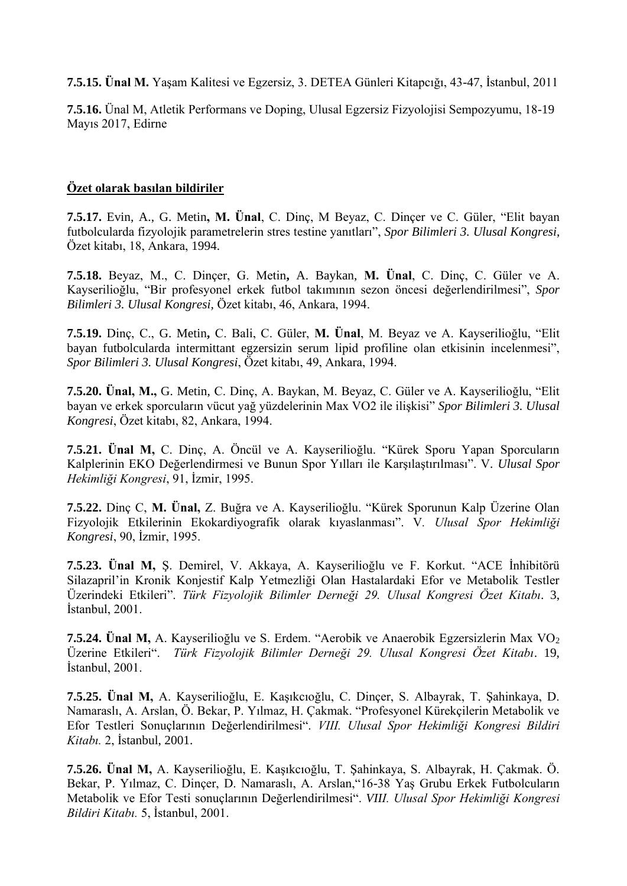**7.5.15. Ünal M.** Yaşam Kalitesi ve Egzersiz, 3. DETEA Günleri Kitapcığı, 43-47, İstanbul, 2011

**7.5.16.** Ünal M, Atletik Performans ve Doping, Ulusal Egzersiz Fizyolojisi Sempozyumu, 18-19 Mayıs 2017, Edirne

#### **Özet olarak basılan bildiriler**

**7.5.17.** Evin, A., G. Metin**, M. Ünal**, C. Dinç, M Beyaz, C. Dinçer ve C. Güler, "Elit bayan futbolcularda fizyolojik parametrelerin stres testine yanıtları", *Spor Bilimleri 3. Ulusal Kongresi*, Özet kitabı, 18, Ankara, 1994.

**7.5.18.** Beyaz, M., C. Dinçer, G. Metin**,** A. Baykan, **M. Ünal**, C. Dinç, C. Güler ve A. Kayserilioğlu, "Bir profesyonel erkek futbol takımının sezon öncesi değerlendirilmesi", *Spor Bilimleri 3. Ulusal Kongresi,* Özet kitabı, 46, Ankara, 1994.

**7.5.19.** Dinç, C., G. Metin**,** C. Bali, C. Güler, **M. Ünal**, M. Beyaz ve A. Kayserilioğlu, "Elit bayan futbolcularda intermittant egzersizin serum lipid profiline olan etkisinin incelenmesi", *Spor Bilimleri 3. Ulusal Kongresi*, Özet kitabı, 49, Ankara, 1994.

**7.5.20. Ünal, M.,** G. Metin, C. Dinç, A. Baykan, M. Beyaz, C. Güler ve A. Kayserilioğlu, "Elit bayan ve erkek sporcuların vücut yağ yüzdelerinin Max VO2 ile ilişkisi" *Spor Bilimleri 3. Ulusal Kongresi*, Özet kitabı, 82, Ankara, 1994.

**7.5.21. Ünal M,** C. Dinç, A. Öncül ve A. Kayserilioğlu. "Kürek Sporu Yapan Sporcuların Kalplerinin EKO Değerlendirmesi ve Bunun Spor Yılları ile Karşılaştırılması". V*. Ulusal Spor Hekimliği Kongresi*, 91, İzmir, 1995.

**7.5.22.** Dinç C, **M. Ünal,** Z. Buğra ve A. Kayserilioğlu. "Kürek Sporunun Kalp Üzerine Olan Fizyolojik Etkilerinin Ekokardiyografik olarak kıyaslanması". V*. Ulusal Spor Hekimliği Kongresi*, 90, İzmir, 1995.

**7.5.23. Ünal M,** Ş. Demirel, V. Akkaya, A. Kayserilioğlu ve F. Korkut. "ACE İnhibitörü Silazapril'in Kronik Konjestif Kalp Yetmezliği Olan Hastalardaki Efor ve Metabolik Testler Üzerindeki Etkileri". *Türk Fizyolojik Bilimler Derneği 29. Ulusal Kongresi Özet Kitabı*. 3, İstanbul, 2001.

**7.5.24. Ünal M,** A. Kayserilioğlu ve S. Erdem. "Aerobik ve Anaerobik Egzersizlerin Max VO<sub>2</sub> Üzerine Etkileri". *Türk Fizyolojik Bilimler Derneği 29. Ulusal Kongresi Özet Kitabı*. 19, İstanbul, 2001.

**7.5.25. Ünal M,** A. Kayserilioğlu, E. Kaşıkcıoğlu, C. Dinçer, S. Albayrak, T. Şahinkaya, D. Namaraslı, A. Arslan, Ö. Bekar, P. Yılmaz, H. Çakmak. "Profesyonel Kürekçilerin Metabolik ve Efor Testleri Sonuçlarının Değerlendirilmesi". *VIII. Ulusal Spor Hekimliği Kongresi Bildiri Kitabı.* 2, İstanbul, 2001.

**7.5.26. Ünal M,** A. Kayserilioğlu, E. Kaşıkcıoğlu, T. Şahinkaya, S. Albayrak, H. Çakmak. Ö. Bekar, P. Yılmaz, C. Dinçer, D. Namaraslı, A. Arslan,"16-38 Yaş Grubu Erkek Futbolcuların Metabolik ve Efor Testi sonuçlarının Değerlendirilmesi". *VIII. Ulusal Spor Hekimliği Kongresi Bildiri Kitabı.* 5, İstanbul, 2001.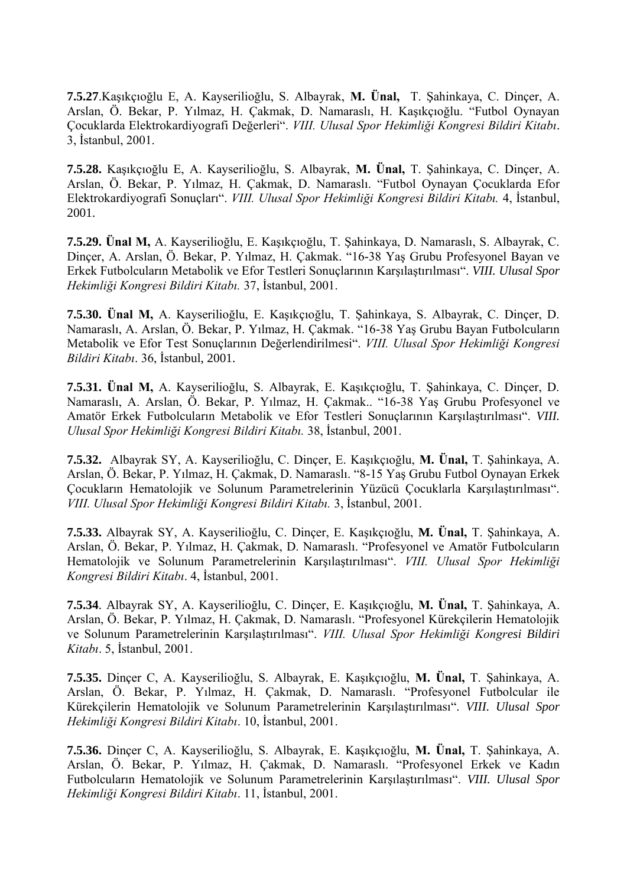**7.5.27**.Kaşıkçıoğlu E, A. Kayserilioğlu, S. Albayrak, **M. Ünal,** T. Şahinkaya, C. Dinçer, A. Arslan, Ö. Bekar, P. Yılmaz, H. Çakmak, D. Namaraslı, H. Kaşıkçıoğlu. "Futbol Oynayan Çocuklarda Elektrokardiyografi Değerleri". *VIII. Ulusal Spor Hekimliği Kongresi Bildiri Kitabı*. 3, İstanbul, 2001.

**7.5.28.** Kaşıkçıoğlu E, A. Kayserilioğlu, S. Albayrak, **M. Ünal,** T. Şahinkaya, C. Dinçer, A. Arslan, Ö. Bekar, P. Yılmaz, H. Çakmak, D. Namaraslı. "Futbol Oynayan Çocuklarda Efor Elektrokardiyografi Sonuçları". *VIII. Ulusal Spor Hekimliği Kongresi Bildiri Kitabı.* 4, İstanbul, 2001.

**7.5.29. Ünal M,** A. Kayserilioğlu, E. Kaşıkçıoğlu, T. Şahinkaya, D. Namaraslı, S. Albayrak, C. Dinçer, A. Arslan, Ö. Bekar, P. Yılmaz, H. Çakmak. "16-38 Yaş Grubu Profesyonel Bayan ve Erkek Futbolcuların Metabolik ve Efor Testleri Sonuçlarının Karşılaştırılması". *VIII. Ulusal Spor Hekimliği Kongresi Bildiri Kitabı.* 37, İstanbul, 2001.

**7.5.30. Ünal M,** A. Kayserilioğlu, E. Kaşıkçıoğlu, T. Şahinkaya, S. Albayrak, C. Dinçer, D. Namaraslı, A. Arslan, Ö. Bekar, P. Yılmaz, H. Çakmak. "16-38 Yaş Grubu Bayan Futbolcuların Metabolik ve Efor Test Sonuçlarının Değerlendirilmesi". *VIII. Ulusal Spor Hekimliği Kongresi Bildiri Kitabı*. 36, İstanbul, 2001.

**7.5.31. Ünal M,** A. Kayserilioğlu, S. Albayrak, E. Kaşıkçıoğlu, T. Şahinkaya, C. Dinçer, D. Namaraslı, A. Arslan, Ö. Bekar, P. Yılmaz, H. Çakmak.. "16-38 Yaş Grubu Profesyonel ve Amatör Erkek Futbolcuların Metabolik ve Efor Testleri Sonuçlarının Karşılaştırılması". *VIII. Ulusal Spor Hekimliği Kongresi Bildiri Kitabı.* 38, İstanbul, 2001.

**7.5.32.** Albayrak SY, A. Kayserilioğlu, C. Dinçer, E. Kaşıkçıoğlu, **M. Ünal,** T. Şahinkaya, A. Arslan, Ö. Bekar, P. Yılmaz, H. Çakmak, D. Namaraslı. "8-15 Yaş Grubu Futbol Oynayan Erkek Çocukların Hematolojik ve Solunum Parametrelerinin Yüzücü Çocuklarla Karşılaştırılması". *VIII. Ulusal Spor Hekimliği Kongresi Bildiri Kitabı.* 3, İstanbul, 2001.

**7.5.33.** Albayrak SY, A. Kayserilioğlu, C. Dinçer, E. Kaşıkçıoğlu, **M. Ünal,** T. Şahinkaya, A. Arslan, Ö. Bekar, P. Yılmaz, H. Çakmak, D. Namaraslı. "Profesyonel ve Amatör Futbolcuların Hematolojik ve Solunum Parametrelerinin Karşılaştırılması". *VIII. Ulusal Spor Hekimliği Kongresi Bildiri Kitabı*. 4, İstanbul, 2001.

**7.5.34**. Albayrak SY, A. Kayserilioğlu, C. Dinçer, E. Kaşıkçıoğlu, **M. Ünal,** T. Şahinkaya, A. Arslan, Ö. Bekar, P. Yılmaz, H. Çakmak, D. Namaraslı. "Profesyonel Kürekçilerin Hematolojik ve Solunum Parametrelerinin Karşılaştırılması". *VIII. Ulusal Spor Hekimliği Kongresi Bildiri Kitabı*. 5, İstanbul, 2001.

**7.5.35.** Dinçer C, A. Kayserilioğlu, S. Albayrak, E. Kaşıkçıoğlu, **M. Ünal,** T. Şahinkaya, A. Arslan, Ö. Bekar, P. Yılmaz, H. Çakmak, D. Namaraslı. "Profesyonel Futbolcular ile Kürekçilerin Hematolojik ve Solunum Parametrelerinin Karşılaştırılması". *VIII. Ulusal Spor Hekimliği Kongresi Bildiri Kitabı*. 10, İstanbul, 2001.

**7.5.36.** Dinçer C, A. Kayserilioğlu, S. Albayrak, E. Kaşıkçıoğlu, **M. Ünal,** T. Şahinkaya, A. Arslan, Ö. Bekar, P. Yılmaz, H. Çakmak, D. Namaraslı. "Profesyonel Erkek ve Kadın Futbolcuların Hematolojik ve Solunum Parametrelerinin Karşılaştırılması". *VIII. Ulusal Spor Hekimliği Kongresi Bildiri Kitabı*. 11, İstanbul, 2001.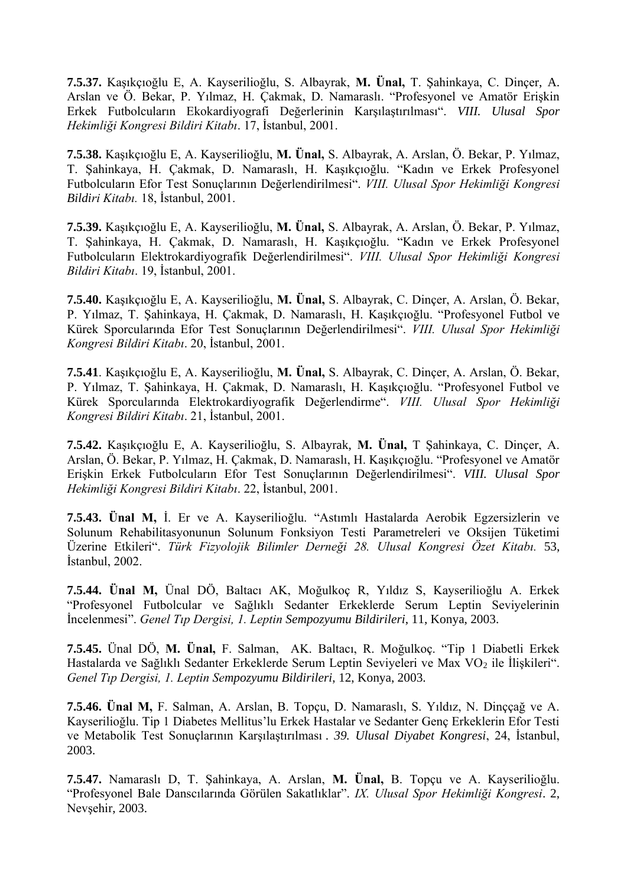**7.5.37.** Kaşıkçıoğlu E, A. Kayserilioğlu, S. Albayrak, **M. Ünal,** T. Şahinkaya, C. Dinçer, A. Arslan ve Ö. Bekar, P. Yılmaz, H. Çakmak, D. Namaraslı. "Profesyonel ve Amatör Erişkin Erkek Futbolcuların Ekokardiyografi Değerlerinin Karşılaştırılması". *VIII. Ulusal Spor Hekimliği Kongresi Bildiri Kitabı*. 17, İstanbul, 2001.

**7.5.38.** Kaşıkçıoğlu E, A. Kayserilioğlu, **M. Ünal,** S. Albayrak, A. Arslan, Ö. Bekar, P. Yılmaz, T. Şahinkaya, H. Çakmak, D. Namaraslı, H. Kaşıkçıoğlu. "Kadın ve Erkek Profesyonel Futbolcuların Efor Test Sonuçlarının Değerlendirilmesi". *VIII. Ulusal Spor Hekimliği Kongresi Bildiri Kitabı.* 18, İstanbul, 2001.

**7.5.39.** Kaşıkçıoğlu E, A. Kayserilioğlu, **M. Ünal,** S. Albayrak, A. Arslan, Ö. Bekar, P. Yılmaz, T. Şahinkaya, H. Çakmak, D. Namaraslı, H. Kaşıkçıoğlu. "Kadın ve Erkek Profesyonel Futbolcuların Elektrokardiyografik Değerlendirilmesi". *VIII. Ulusal Spor Hekimliği Kongresi Bildiri Kitabı*. 19, İstanbul, 2001.

**7.5.40.** Kaşıkçıoğlu E, A. Kayserilioğlu, **M. Ünal,** S. Albayrak, C. Dinçer, A. Arslan, Ö. Bekar, P. Yılmaz, T. Şahinkaya, H. Çakmak, D. Namaraslı, H. Kaşıkçıoğlu. "Profesyonel Futbol ve Kürek Sporcularında Efor Test Sonuçlarının Değerlendirilmesi". *VIII. Ulusal Spor Hekimliği Kongresi Bildiri Kitabı*. 20, İstanbul, 2001.

**7.5.41**. Kaşıkçıoğlu E, A. Kayserilioğlu, **M. Ünal,** S. Albayrak, C. Dinçer, A. Arslan, Ö. Bekar, P. Yılmaz, T. Şahinkaya, H. Çakmak, D. Namaraslı, H. Kaşıkçıoğlu. "Profesyonel Futbol ve Kürek Sporcularında Elektrokardiyografik Değerlendirme". *VIII. Ulusal Spor Hekimliği Kongresi Bildiri Kitabı*. 21, İstanbul, 2001.

**7.5.42.** Kaşıkçıoğlu E, A. Kayserilioğlu, S. Albayrak, **M. Ünal,** T Şahinkaya, C. Dinçer, A. Arslan, Ö. Bekar, P. Yılmaz, H. Çakmak, D. Namaraslı, H. Kaşıkçıoğlu. "Profesyonel ve Amatör Erişkin Erkek Futbolcuların Efor Test Sonuçlarının Değerlendirilmesi". *VIII. Ulusal Spor Hekimliği Kongresi Bildiri Kitabı*. 22, İstanbul, 2001.

**7.5.43. Ünal M,** İ. Er ve A. Kayserilioğlu. "Astımlı Hastalarda Aerobik Egzersizlerin ve Solunum Rehabilitasyonunun Solunum Fonksiyon Testi Parametreleri ve Oksijen Tüketimi Üzerine Etkileri". *Türk Fizyolojik Bilimler Derneği 28. Ulusal Kongresi Özet Kitabı.* 53, İstanbul, 2002.

**7.5.44. Ünal M,** Ünal DÖ, Baltacı AK, Moğulkoç R, Yıldız S, Kayserilioğlu A. Erkek "Profesyonel Futbolcular ve Sağlıklı Sedanter Erkeklerde Serum Leptin Seviyelerinin İncelenmesi". *Genel Tıp Dergisi, 1. Leptin Sempozyumu Bildirileri*, 11, Konya, 2003.

**7.5.45.** Ünal DÖ, **M. Ünal,** F. Salman, AK. Baltacı, R. Moğulkoç. "Tip 1 Diabetli Erkek Hastalarda ve Sağlıklı Sedanter Erkeklerde Serum Leptin Seviyeleri ve Max VO<sub>2</sub> ile İlişkileri". *Genel Tıp Dergisi, 1. Leptin Sempozyumu Bildirileri*, 12, Konya, 2003.

**7.5.46. Ünal M,** F. Salman, A. Arslan, B. Topçu, D. Namaraslı, S. Yıldız, N. Dinççağ ve A. Kayserilioğlu. Tip 1 Diabetes Mellitus'lu Erkek Hastalar ve Sedanter Genç Erkeklerin Efor Testi ve Metabolik Test Sonuçlarının Karşılaştırılması . *39. Ulusal Diyabet Kongresi*, 24, İstanbul, 2003.

**7.5.47.** Namaraslı D, T. Şahinkaya, A. Arslan, **M. Ünal,** B. Topçu ve A. Kayserilioğlu. "Profesyonel Bale Danscılarında Görülen Sakatlıklar". *IX. Ulusal Spor Hekimliği Kongresi*. 2, Nevşehir, 2003.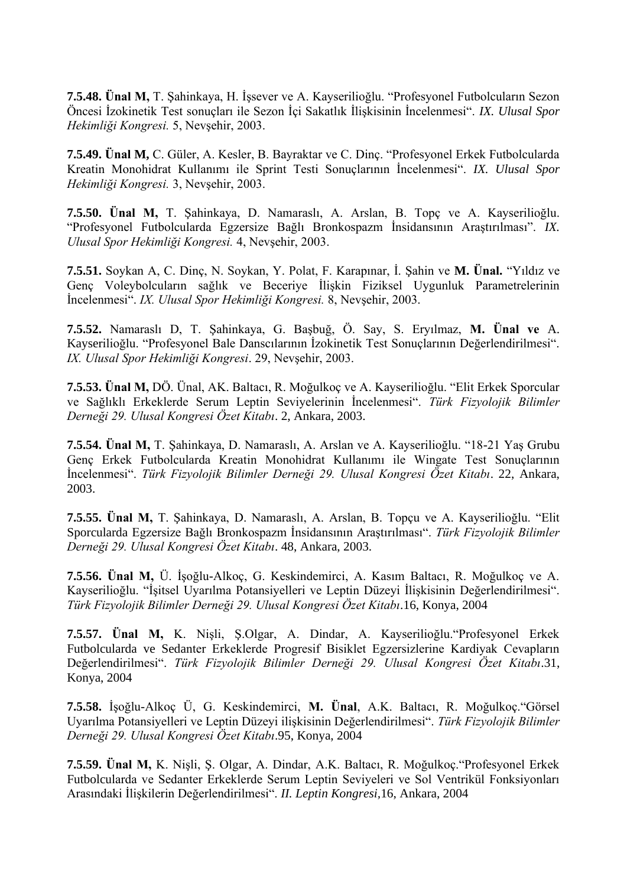**7.5.48. Ünal M,** T. Şahinkaya, H. İşsever ve A. Kayserilioğlu. "Profesyonel Futbolcuların Sezon Öncesi İzokinetik Test sonuçları ile Sezon İçi Sakatlık İlişkisinin İncelenmesi". *IX. Ulusal Spor Hekimliği Kongresi.* 5, Nevşehir, 2003.

**7.5.49. Ünal M,** C. Güler, A. Kesler, B. Bayraktar ve C. Dinç. "Profesyonel Erkek Futbolcularda Kreatin Monohidrat Kullanımı ile Sprint Testi Sonuçlarının İncelenmesi". *IX. Ulusal Spor Hekimliği Kongresi.* 3, Nevşehir, 2003.

**7.5.50. Ünal M,** T. Şahinkaya, D. Namaraslı, A. Arslan, B. Topç ve A. Kayserilioğlu. "Profesyonel Futbolcularda Egzersize Bağlı Bronkospazm İnsidansının Araştırılması". *IX. Ulusal Spor Hekimliği Kongresi.* 4, Nevşehir, 2003.

**7.5.51.** Soykan A, C. Dinç, N. Soykan, Y. Polat, F. Karapınar, İ. Şahin ve **M. Ünal.** "Yıldız ve Genç Voleybolcuların sağlık ve Beceriye İlişkin Fiziksel Uygunluk Parametrelerinin İncelenmesi". *IX. Ulusal Spor Hekimliği Kongresi.* 8, Nevşehir, 2003.

**7.5.52.** Namaraslı D, T. Şahinkaya, G. Başbuğ, Ö. Say, S. Eryılmaz, **M. Ünal ve** A. Kayserilioğlu. "Profesyonel Bale Danscılarının İzokinetik Test Sonuçlarının Değerlendirilmesi". *IX. Ulusal Spor Hekimliği Kongresi*. 29, Nevşehir, 2003.

**7.5.53. Ünal M,** DÖ. Ünal, AK. Baltacı, R. Moğulkoç ve A. Kayserilioğlu. "Elit Erkek Sporcular ve Sağlıklı Erkeklerde Serum Leptin Seviyelerinin İncelenmesi". *Türk Fizyolojik Bilimler Derneği 29. Ulusal Kongresi Özet Kitabı*. 2, Ankara, 2003.

**7.5.54. Ünal M,** T. Şahinkaya, D. Namaraslı, A. Arslan ve A. Kayserilioğlu. "18-21 Yaş Grubu Genç Erkek Futbolcularda Kreatin Monohidrat Kullanımı ile Wingate Test Sonuçlarının İncelenmesi". *Türk Fizyolojik Bilimler Derneği 29. Ulusal Kongresi Özet Kitabı*. 22, Ankara, 2003.

**7.5.55. Ünal M,** T. Şahinkaya, D. Namaraslı, A. Arslan, B. Topçu ve A. Kayserilioğlu. "Elit Sporcularda Egzersize Bağlı Bronkospazm İnsidansının Araştırılması". *Türk Fizyolojik Bilimler Derneği 29. Ulusal Kongresi Özet Kitabı*. 48, Ankara, 2003.

**7.5.56. Ünal M,** Ü. İşoğlu-Alkoç, G. Keskindemirci, A. Kasım Baltacı, R. Moğulkoç ve A. Kayserilioğlu. "İşitsel Uyarılma Potansiyelleri ve Leptin Düzeyi İlişkisinin Değerlendirilmesi". *Türk Fizyolojik Bilimler Derneği 29. Ulusal Kongresi Özet Kitabı*.16, Konya, 2004

**7.5.57. Ünal M,** K. Nişli, Ş.Olgar, A. Dindar, A. Kayserilioğlu."Profesyonel Erkek Futbolcularda ve Sedanter Erkeklerde Progresif Bisiklet Egzersizlerine Kardiyak Cevapların Değerlendirilmesi". *Türk Fizyolojik Bilimler Derneği 29. Ulusal Kongresi Özet Kitabı*.31, Konya, 2004

**7.5.58.** İşoğlu-Alkoç Ü, G. Keskindemirci, **M. Ünal**, A.K. Baltacı, R. Moğulkoç."Görsel Uyarılma Potansiyelleri ve Leptin Düzeyi ilişkisinin Değerlendirilmesi". *Türk Fizyolojik Bilimler Derneği 29. Ulusal Kongresi Özet Kitabı*.95, Konya, 2004

**7.5.59. Ünal M,** K. Nişli, Ş. Olgar, A. Dindar, A.K. Baltacı, R. Moğulkoç."Profesyonel Erkek Futbolcularda ve Sedanter Erkeklerde Serum Leptin Seviyeleri ve Sol Ventrikül Fonksiyonları Arasındaki İlişkilerin Değerlendirilmesi". *II. Leptin Kongresi,*16, Ankara, 2004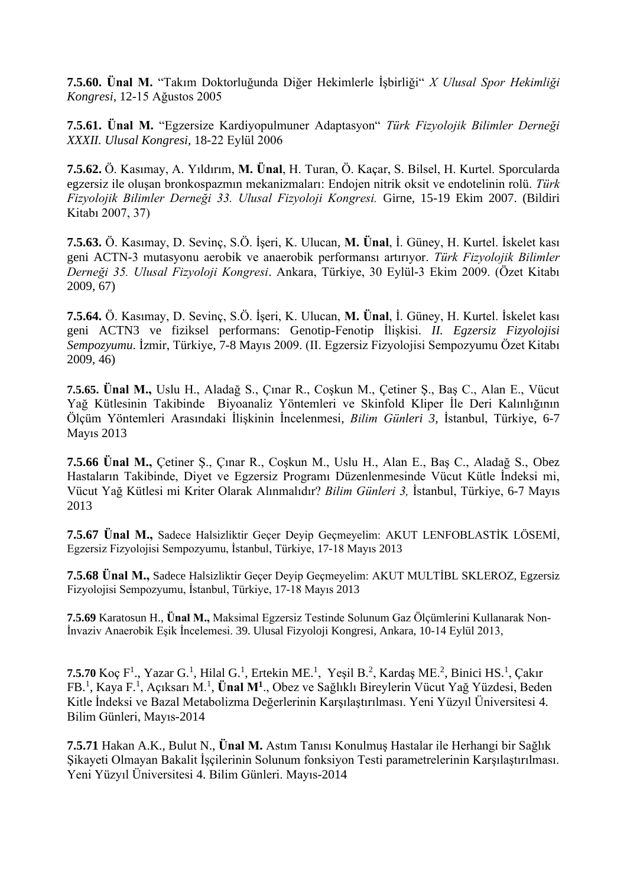**7.5.60. Ünal M.** "Takım Doktorluğunda Diğer Hekimlerle İşbirliği" *X Ulusal Spor Hekimliği Kongresi,* 12-15 Ağustos 2005

**7.5.61. Ünal M.** "Egzersize Kardiyopulmuner Adaptasyon" *Türk Fizyolojik Bilimler Derneği XXXII. Ulusal Kongresi,* 18-22 Eylül 2006

**7.5.62.** Ö. Kasımay, A. Yıldırım, **M. Ünal**, H. Turan, Ö. Kaçar, S. Bilsel, H. Kurtel. Sporcularda egzersiz ile oluşan bronkospazmın mekanizmaları: Endojen nitrik oksit ve endotelinin rolü. *Türk Fizyolojik Bilimler Derneği 33. Ulusal Fizyoloji Kongresi.* Girne, 15-19 Ekim 2007. (Bildiri Kitabı 2007, 37)

**7.5.63.** Ö. Kasımay, D. Sevinç, S.Ö. İşeri, K. Ulucan, **M. Ünal**, İ. Güney, H. Kurtel. İskelet kası geni ACTN-3 mutasyonu aerobik ve anaerobik performansı artırıyor. *Türk Fizyolojik Bilimler Derneği 35. Ulusal Fizyoloji Kongresi*. Ankara, Türkiye, 30 Eylül-3 Ekim 2009. (Özet Kitabı 2009, 67)

**7.5.64.** Ö. Kasımay, D. Sevinç, S.Ö. İşeri, K. Ulucan, **M. Ünal**, İ. Güney, H. Kurtel. İskelet kası geni ACTN3 ve fiziksel performans: Genotip-Fenotip İlişkisi. *II. Egzersiz Fizyolojisi Sempozyumu*. İzmir, Türkiye, 7-8 Mayıs 2009. (II. Egzersiz Fizyolojisi Sempozyumu Özet Kitabı 2009, 46)

**7.5.65. Ünal M.,** Uslu H., Aladağ S., Çınar R., Coşkun M., Çetiner Ş., Baş C., Alan E., Vücut Yağ Kütlesinin Takibinde Biyoanaliz Yöntemleri ve Skinfold Kliper İle Deri Kalınlığının Ölçüm Yöntemleri Arasındaki İlişkinin İncelenmesi, *Bilim Günleri 3,* İstanbul, Türkiye, 6-7 Mayıs 2013

**7.5.66 Ünal M.,** Çetiner Ş., Çınar R., Coşkun M., Uslu H., Alan E., Baş C., Aladağ S., Obez Hastaların Takibinde, Diyet ve Egzersiz Programı Düzenlenmesinde Vücut Kütle İndeksi mi, Vücut Yağ Kütlesi mi Kriter Olarak Alınmalıdır? *Bilim Günleri 3,* İstanbul, Türkiye, 6-7 Mayıs 2013

**7.5.67 Ünal M.,** Sadece Halsizliktir Geçer Deyip Geçmeyelim: AKUT LENFOBLASTİK LÖSEMİ, Egzersiz Fizyolojisi Sempozyumu, İstanbul, Türkiye, 17-18 Mayıs 2013

**7.5.68 Ünal M.,** Sadece Halsizliktir Geçer Deyip Geçmeyelim: AKUT MULTİBL SKLEROZ, Egzersiz Fizyolojisi Sempozyumu, İstanbul, Türkiye, 17-18 Mayıs 2013

**7.5.69** Karatosun H., **Ünal M.,** Maksimal Egzersiz Testinde Solunum Gaz Ölçümlerini Kullanarak Non-İnvaziv Anaerobik Eşik İncelemesi. 39. Ulusal Fizyoloji Kongresi, Ankara, 10-14 Eylül 2013,

**7.5.70** Koç F<sup>1</sup>., Yazar G.<sup>1</sup>, Hilal G.<sup>1</sup>, Ertekin ME.<sup>1</sup>, Yeşil B.<sup>2</sup>, Kardaş ME.<sup>2</sup>, Binici HS.<sup>1</sup>, Çakır FB.<sup>1</sup> , Kaya F.<sup>1</sup> , Açıksarı M.<sup>1</sup> , **Ünal M<sup>1</sup>** ., Obez ve Sağlıklı Bireylerin Vücut Yağ Yüzdesi, Beden Kitle İndeksi ve Bazal Metabolizma Değerlerinin Karşılaştırılması. Yeni Yüzyıl Üniversitesi 4. Bilim Günleri, Mayıs-2014

**7.5.71** Hakan A.K., Bulut N., **Ünal M.** Astım Tanısı Konulmuş Hastalar ile Herhangi bir Sağlık Şikayeti Olmayan Bakalit İşçilerinin Solunum fonksiyon Testi parametrelerinin Karşılaştırılması. Yeni Yüzyıl Üniversitesi 4. Bilim Günleri. Mayıs-2014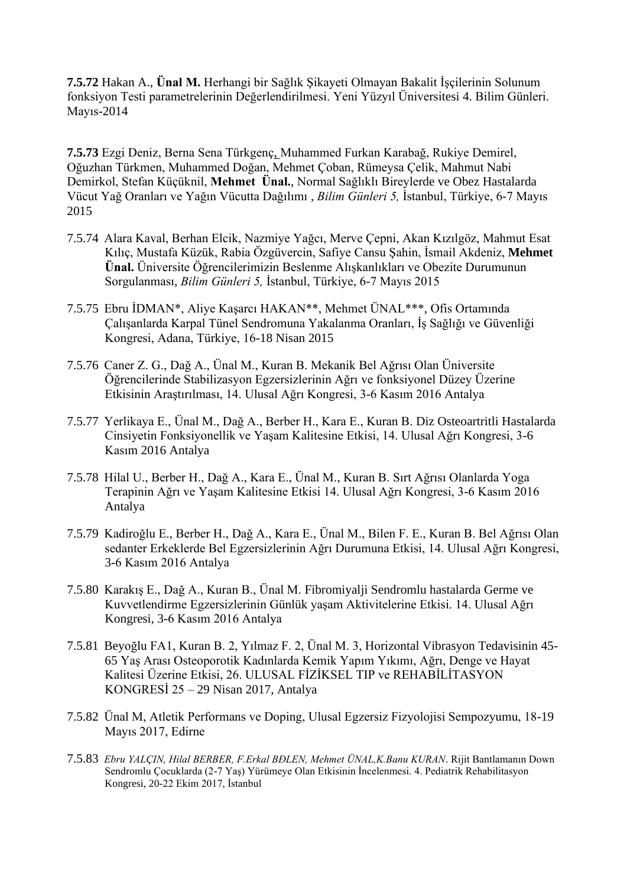**7.5.72** Hakan A., **Ünal M.** Herhangi bir Sağlık Şikayeti Olmayan Bakalit İşçilerinin Solunum fonksiyon Testi parametrelerinin Değerlendirilmesi. Yeni Yüzyıl Üniversitesi 4. Bilim Günleri. Mayıs-2014

**7.5.73** Ezgi Deniz, Berna Sena Türkgenç, Muhammed Furkan Karabağ, Rukiye Demirel, Oğuzhan Türkmen, Muhammed Doğan, Mehmet Çoban, Rümeysa Çelik, Mahmut Nabi Demirkol, Stefan Küçüknil, **Mehmet Ünal.**, Normal Sağlıklı Bireylerde ve Obez Hastalarda Vücut Yağ Oranları ve Yağın Vücutta Dağılımı , *Bilim Günleri 5,* İstanbul, Türkiye, 6-7 Mayıs 2015

- 7.5.74 Alara Kaval, Berhan Elcik, Nazmiye Yağcı, Merve Çepni, Akan Kızılgöz, Mahmut Esat Kılıç, Mustafa Küzük, Rabia Özgüvercin, Safiye Cansu Şahin, İsmail Akdeniz, **Mehmet Ünal.** Üniversite Öğrencilerimizin Beslenme Alışkanlıkları ve Obezite Durumunun Sorgulanması, *Bilim Günleri 5,* İstanbul, Türkiye, 6-7 Mayıs 2015
- 7.5.75 Ebru İDMAN\*, Aliye Kaşarcı HAKAN\*\*, Mehmet ÜNAL\*\*\*, Ofis Ortamında Çalışanlarda Karpal Tünel Sendromuna Yakalanma Oranları, İş Sağlığı ve Güvenliği Kongresi, Adana, Türkiye, 16-18 Nisan 2015
- 7.5.76 Caner Z. G., Dağ A., Ünal M., Kuran B. Mekanik Bel Ağrısı Olan Üniversite Öğrencilerinde Stabilizasyon Egzersizlerinin Ağrı ve fonksiyonel Düzey Üzerine Etkisinin Araştırılması, 14. Ulusal Ağrı Kongresi, 3-6 Kasım 2016 Antalya
- 7.5.77 Yerlikaya E., Ünal M., Dağ A., Berber H., Kara E., Kuran B. Diz Osteoartritli Hastalarda Cinsiyetin Fonksiyonellik ve Yaşam Kalitesine Etkisi, 14. Ulusal Ağrı Kongresi, 3-6 Kasım 2016 Antalya
- 7.5.78 Hilal U., Berber H., Dağ A., Kara E., Ünal M., Kuran B. Sırt Ağrısı Olanlarda Yoga Terapinin Ağrı ve Yaşam Kalitesine Etkisi 14. Ulusal Ağrı Kongresi, 3-6 Kasım 2016 Antalya
- 7.5.79 Kadiroğlu E., Berber H., Dağ A., Kara E., Ünal M., Bilen F. E., Kuran B. Bel Ağrısı Olan sedanter Erkeklerde Bel Egzersizlerinin Ağrı Durumuna Etkisi, 14. Ulusal Ağrı Kongresi, 3-6 Kasım 2016 Antalya
- 7.5.80 Karakış E., Dağ A., Kuran B., Ünal M. Fibromiyalji Sendromlu hastalarda Germe ve Kuvvetlendirme Egzersizlerinin Günlük yaşam Aktivitelerine Etkisi. 14. Ulusal Ağrı Kongresi, 3-6 Kasım 2016 Antalya
- 7.5.81 Beyoğlu FA1, Kuran B. 2, Yılmaz F. 2, Ünal M. 3, Horizontal Vibrasyon Tedavisinin 45- 65 Yaş Arası Osteoporotik Kadınlarda Kemik Yapım Yıkımı, Ağrı, Denge ve Hayat Kalitesi Üzerine Etkisi, 26. ULUSAL FİZİKSEL TIP ve REHABİLİTASYON KONGRESİ 25 – 29 Nisan 2017, Antalya
- 7.5.82 Ünal M, Atletik Performans ve Doping, Ulusal Egzersiz Fizyolojisi Sempozyumu, 18-19 Mayıs 2017, Edirne
- 7.5.83 *Ebru YALÇIN, Hilal BERBER, F.Erkal BĐLEN, Mehmet ÜNAL,K.Banu KURAN*. Rijit Bantlamanın Down Sendromlu Çocuklarda (2-7 Yaş) Yürümeye Olan Etkisinin İncelenmesi. 4. Pediatrik Rehabilitasyon Kongresi, 20-22 Ekim 2017, İstanbul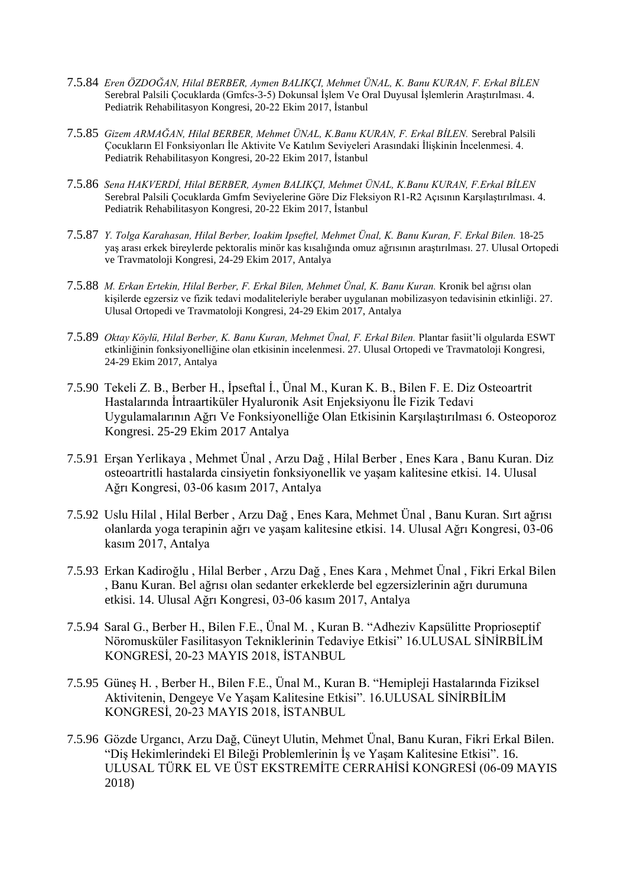- 7.5.84 *Eren ÖZDOĞAN, Hilal BERBER, Aymen BALIKÇI, Mehmet ÜNAL, K. Banu KURAN, F. Erkal BİLEN* Serebral Palsili Çocuklarda (Gmfcs-3-5) Dokunsal İşlem Ve Oral Duyusal İşlemlerin Araştırılması. 4. Pediatrik Rehabilitasyon Kongresi, 20-22 Ekim 2017, İstanbul
- 7.5.85 *Gizem ARMAĞAN, Hilal BERBER, Mehmet ÜNAL, K.Banu KURAN, F. Erkal BİLEN.* Serebral Palsili Çocukların El Fonksiyonları İle Aktivite Ve Katılım Seviyeleri Arasındaki İlişkinin İncelenmesi. 4. Pediatrik Rehabilitasyon Kongresi, 20-22 Ekim 2017, İstanbul
- 7.5.86 *Sena HAKVERDİ, Hilal BERBER, Aymen BALIKÇI, Mehmet ÜNAL, K.Banu KURAN, F.Erkal BİLEN* Serebral Palsili Çocuklarda Gmfm Seviyelerine Göre Diz Fleksiyon R1-R2 Açısının Karşılaştırılması. 4. Pediatrik Rehabilitasyon Kongresi, 20-22 Ekim 2017, İstanbul
- 7.5.87 *Y. Tolga Karahasan, Hilal Berber, Ioakim Ipseftel, Mehmet Ünal, K. Banu Kuran, F. Erkal Bilen.* 18-25 yaş arası erkek bireylerde pektoralis minör kas kısalığında omuz ağrısının araştırılması. 27. Ulusal Ortopedi ve Travmatoloji Kongresi, 24-29 Ekim 2017, Antalya
- 7.5.88 *M. Erkan Ertekin, Hilal Berber, F. Erkal Bilen, Mehmet Ünal, K. Banu Kuran.* Kronik bel ağrısı olan kişilerde egzersiz ve fizik tedavi modaliteleriyle beraber uygulanan mobilizasyon tedavisinin etkinliği. 27. Ulusal Ortopedi ve Travmatoloji Kongresi, 24-29 Ekim 2017, Antalya
- 7.5.89 *Oktay Köylü, Hilal Berber, K. Banu Kuran, Mehmet Ünal, F. Erkal Bilen.* Plantar fasiit'li olgularda ESWT etkinliğinin fonksiyonelliğine olan etkisinin incelenmesi. 27. Ulusal Ortopedi ve Travmatoloji Kongresi, 24-29 Ekim 2017, Antalya
- 7.5.90 Tekeli Z. B., Berber H., İpseftal İ., Ünal M., Kuran K. B., Bilen F. E. Diz Osteoartrit Hastalarında İntraartiküler Hyaluronik Asit Enjeksiyonu İle Fizik Tedavi Uygulamalarının Ağrı Ve Fonksiyonelliğe Olan Etkisinin Karşılaştırılması 6. Osteoporoz Kongresi. 25-29 Ekim 2017 Antalya
- 7.5.91 Erşan Yerlikaya , Mehmet Ünal , Arzu Dağ , Hilal Berber , Enes Kara , Banu Kuran. Diz osteoartritli hastalarda cinsiyetin fonksiyonellik ve yaşam kalitesine etkisi. 14. Ulusal Ağrı Kongresi, 03-06 kasım 2017, Antalya
- 7.5.92 Uslu Hilal , Hilal Berber , Arzu Dağ , Enes Kara, Mehmet Ünal , Banu Kuran. Sırt ağrısı olanlarda yoga terapinin ağrı ve yaşam kalitesine etkisi. 14. Ulusal Ağrı Kongresi, 03-06 kasım 2017, Antalya
- 7.5.93 Erkan Kadiroğlu , Hilal Berber , Arzu Dağ , Enes Kara , Mehmet Ünal , Fikri Erkal Bilen , Banu Kuran. Bel ağrısı olan sedanter erkeklerde bel egzersizlerinin ağrı durumuna etkisi. 14. Ulusal Ağrı Kongresi, 03-06 kasım 2017, Antalya
- 7.5.94 Saral G., Berber H., Bilen F.E., Ünal M. , Kuran B. "Adheziv Kapsülitte Proprioseptif Nöromusküler Fasilitasyon Tekniklerinin Tedaviye Etkisi" 16.ULUSAL SİNİRBİLİM KONGRESİ, 20-23 MAYIS 2018, İSTANBUL
- 7.5.95 Güneş H. , Berber H., Bilen F.E., Ünal M., Kuran B. "Hemipleji Hastalarında Fiziksel Aktivitenin, Dengeye Ve Yaşam Kalitesine Etkisi". 16.ULUSAL SİNİRBİLİM KONGRESİ, 20-23 MAYIS 2018, İSTANBUL
- 7.5.96 Gözde Urgancı, Arzu Dağ, Cüneyt Ulutin, Mehmet Ünal, Banu Kuran, Fikri Erkal Bilen. "Diş Hekimlerindeki El Bileği Problemlerinin İş ve Yaşam Kalitesine Etkisi". 16. ULUSAL TÜRK EL VE ÜST EKSTREMİTE CERRAHİSİ KONGRESİ (06-09 MAYIS 2018)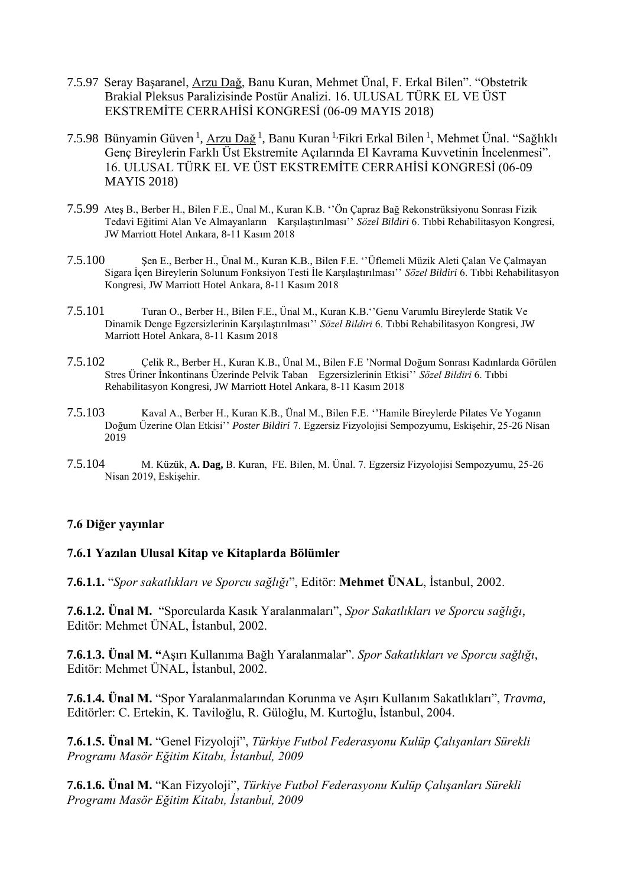- 7.5.97 Seray Başaranel, Arzu Dağ, Banu Kuran, Mehmet Ünal, F. Erkal Bilen". "Obstetrik Brakial Pleksus Paralizisinde Postür Analizi. 16. ULUSAL TÜRK EL VE ÜST EKSTREMİTE CERRAHİSİ KONGRESİ (06-09 MAYIS 2018)
- 7.5.98 Bünyamin Güven<sup>1</sup>, Arzu Dağ<sup>1</sup>, Banu Kuran <sup>1,</sup>Fikri Erkal Bilen <sup>1</sup>, Mehmet Ünal. "Sağlıklı Genç Bireylerin Farklı Üst Ekstremite Açılarında El Kavrama Kuvvetinin İncelenmesi". 16. ULUSAL TÜRK EL VE ÜST EKSTREMİTE CERRAHİSİ KONGRESİ (06-09 MAYIS 2018)
- 7.5.99 Ateş B., Berber H., Bilen F.E., Ünal M., Kuran K.B. ''Ön Çapraz Bağ Rekonstrüksiyonu Sonrası Fizik Tedavi Eğitimi Alan Ve Almayanların Karşılaştırılması'' *Sözel Bildiri* 6. Tıbbi Rehabilitasyon Kongresi, JW Marriott Hotel Ankara, 8-11 Kasım 2018
- 7.5.100 Şen E., Berber H., Ünal M., Kuran K.B., Bilen F.E. ''Üflemeli Müzik Aleti Çalan Ve Çalmayan Sigara İçen Bireylerin Solunum Fonksiyon Testi İle Karşılaştırılması'' *Sözel Bildiri* 6. Tıbbi Rehabilitasyon Kongresi, JW Marriott Hotel Ankara, 8-11 Kasım 2018
- 7.5.101 Turan O., Berber H., Bilen F.E., Ünal M., Kuran K.B.''Genu Varumlu Bireylerde Statik Ve Dinamik Denge Egzersizlerinin Karşılaştırılması'' *Sözel Bildiri* 6. Tıbbi Rehabilitasyon Kongresi, JW Marriott Hotel Ankara, 8-11 Kasım 2018
- 7.5.102 Çelik R., Berber H., Kuran K.B., Ünal M., Bilen F.E 'Normal Doğum Sonrası Kadınlarda Görülen Stres Üriner İnkontinans Üzerinde Pelvik Taban Egzersizlerinin Etkisi'' *Sözel Bildiri* 6. Tıbbi Rehabilitasyon Kongresi, JW Marriott Hotel Ankara, 8-11 Kasım 2018
- 7.5.103 Kaval A., Berber H., Kuran K.B., Ünal M., Bilen F.E. ''Hamile Bireylerde Pilates Ve Yoganın Doğum Üzerine Olan Etkisi'' *Poster Bildiri* 7. Egzersiz Fizyolojisi Sempozyumu, Eskişehir, 25-26 Nisan 2019
- 7.5.104 M. Küzük, **A. Dag,** B. Kuran, FE. Bilen, M. Ünal. 7. Egzersiz Fizyolojisi Sempozyumu, 25-26 Nisan 2019, Eskişehir.

### **7.6 Diğer yayınlar**

#### **7.6.1 Yazılan Ulusal Kitap ve Kitaplarda Bölümler**

**7.6.1.1.** "*Spor sakatlıkları ve Sporcu sağlığı*", Editör: **Mehmet ÜNAL**, İstanbul, 2002.

**7.6.1.2. Ünal M.** "Sporcularda Kasık Yaralanmaları", *Spor Sakatlıkları ve Sporcu sağlığı*, Editör: Mehmet ÜNAL, İstanbul, 2002.

**7.6.1.3. Ünal M. "**Aşırı Kullanıma Bağlı Yaralanmalar". *Spor Sakatlıkları ve Sporcu sağlığı*, Editör: Mehmet ÜNAL, İstanbul, 2002.

**7.6.1.4. Ünal M.** "Spor Yaralanmalarından Korunma ve Aşırı Kullanım Sakatlıkları", *Travma*, Editörler: C. Ertekin, K. Taviloğlu, R. Güloğlu, M. Kurtoğlu, İstanbul, 2004.

**7.6.1.5. Ünal M.** "Genel Fizyoloji", *Türkiye Futbol Federasyonu Kulüp Çalışanları Sürekli Programı Masör Eğitim Kitabı, İstanbul, 2009*

**7.6.1.6. Ünal M.** "Kan Fizyoloji", *Türkiye Futbol Federasyonu Kulüp Çalışanları Sürekli Programı Masör Eğitim Kitabı, İstanbul, 2009*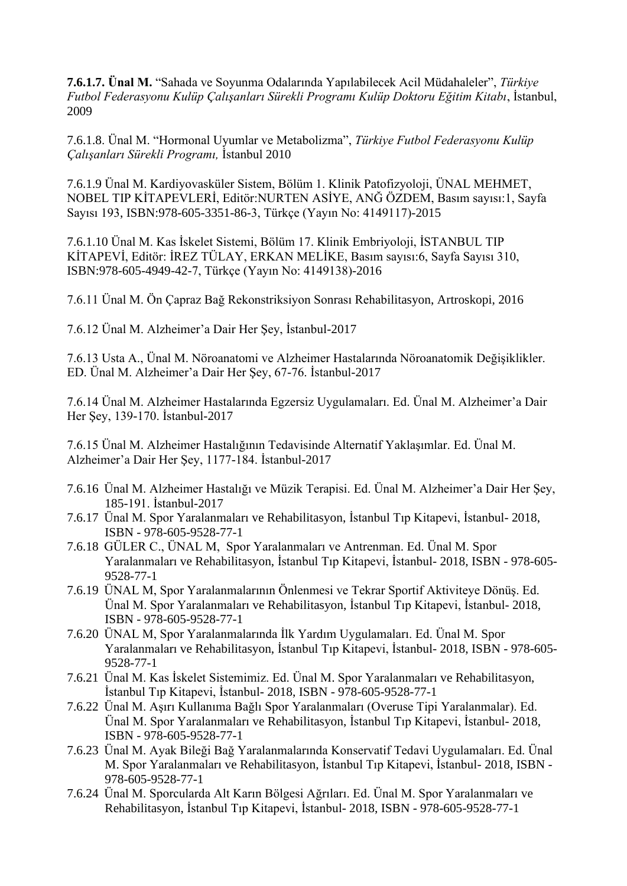**7.6.1.7. Ünal M.** "Sahada ve Soyunma Odalarında Yapılabilecek Acil Müdahaleler", *Türkiye Futbol Federasyonu Kulüp Çalışanları Sürekli Programı Kulüp Doktoru Eğitim Kitabı*, İstanbul, 2009

7.6.1.8. Ünal M. "Hormonal Uyumlar ve Metabolizma", *Türkiye Futbol Federasyonu Kulüp Çalışanları Sürekli Programı,* İstanbul 2010

7.6.1.9 Ünal M. Kardiyovasküler Sistem, Bölüm 1. Klinik Patofizyoloji, ÜNAL MEHMET, NOBEL TIP KİTAPEVLERİ, Editör:NURTEN ASİYE, ANĞ ÖZDEM, Basım sayısı:1, Sayfa Sayısı 193, ISBN:978-605-3351-86-3, Türkçe (Yayın No: 4149117)-2015

7.6.1.10 Ünal M. Kas İskelet Sistemi, Bölüm 17. Klinik Embriyoloji, İSTANBUL TIP KİTAPEVİ, Editör: İREZ TÜLAY, ERKAN MELİKE, Basım sayısı:6, Sayfa Sayısı 310, ISBN:978-605-4949-42-7, Türkçe (Yayın No: 4149138)-2016

7.6.11 Ünal M. Ön Çapraz Bağ Rekonstriksiyon Sonrası Rehabilitasyon, Artroskopi, 2016

7.6.12 Ünal M. Alzheimer'a Dair Her Şey, İstanbul-2017

7.6.13 Usta A., Ünal M. Nöroanatomi ve Alzheimer Hastalarında Nöroanatomik Değişiklikler. ED. Ünal M. Alzheimer'a Dair Her Şey, 67-76. İstanbul-2017

7.6.14 Ünal M. Alzheimer Hastalarında Egzersiz Uygulamaları. Ed. Ünal M. Alzheimer'a Dair Her Şey, 139-170. İstanbul-2017

7.6.15 Ünal M. Alzheimer Hastalığının Tedavisinde Alternatif Yaklaşımlar. Ed. Ünal M. Alzheimer'a Dair Her Şey, 1177-184. İstanbul-2017

- 7.6.16 Ünal M. Alzheimer Hastalığı ve Müzik Terapisi. Ed. Ünal M. Alzheimer'a Dair Her Şey, 185-191. İstanbul-2017
- 7.6.17 Ünal M. Spor Yaralanmaları ve Rehabilitasyon, İstanbul Tıp Kitapevi, İstanbul- 2018, ISBN - 978-605-9528-77-1
- 7.6.18 GÜLER C., ÜNAL M, Spor Yaralanmaları ve Antrenman. Ed. Ünal M. Spor Yaralanmaları ve Rehabilitasyon, İstanbul Tıp Kitapevi, İstanbul- 2018, ISBN - 978-605- 9528-77-1
- 7.6.19 ÜNAL M, Spor Yaralanmalarının Önlenmesi ve Tekrar Sportif Aktiviteye Dönüş. Ed. Ünal M. Spor Yaralanmaları ve Rehabilitasyon, İstanbul Tıp Kitapevi, İstanbul- 2018, ISBN - 978-605-9528-77-1
- 7.6.20 ÜNAL M, Spor Yaralanmalarında İlk Yardım Uygulamaları. Ed. Ünal M. Spor Yaralanmaları ve Rehabilitasyon, İstanbul Tıp Kitapevi, İstanbul- 2018, ISBN - 978-605- 9528-77-1
- 7.6.21 Ünal M. Kas İskelet Sistemimiz. Ed. Ünal M. Spor Yaralanmaları ve Rehabilitasyon, İstanbul Tıp Kitapevi, İstanbul- 2018, ISBN - 978-605-9528-77-1
- 7.6.22 Ünal M. Aşırı Kullanıma Bağlı Spor Yaralanmaları (Overuse Tipi Yaralanmalar). Ed. Ünal M. Spor Yaralanmaları ve Rehabilitasyon, İstanbul Tıp Kitapevi, İstanbul- 2018, ISBN - 978-605-9528-77-1
- 7.6.23 Ünal M. Ayak Bileği Bağ Yaralanmalarında Konservatif Tedavi Uygulamaları. Ed. Ünal M. Spor Yaralanmaları ve Rehabilitasyon, İstanbul Tıp Kitapevi, İstanbul- 2018, ISBN - 978-605-9528-77-1
- 7.6.24 Ünal M. Sporcularda Alt Karın Bölgesi Ağrıları. Ed. Ünal M. Spor Yaralanmaları ve Rehabilitasyon, İstanbul Tıp Kitapevi, İstanbul- 2018, ISBN - 978-605-9528-77-1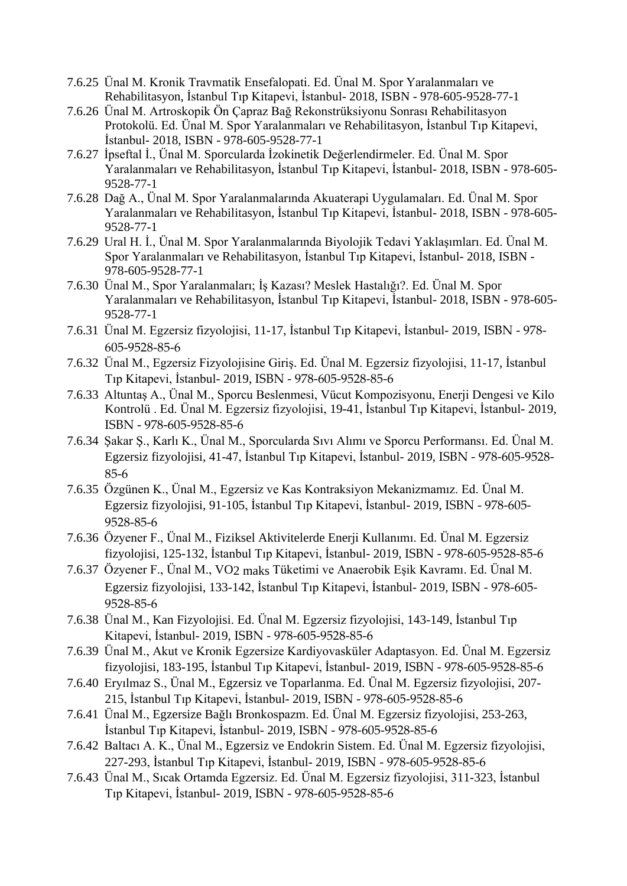- 7.6.25 Ünal M. Kronik Travmatik Ensefalopati. Ed. Ünal M. Spor Yaralanmaları ve Rehabilitasyon, İstanbul Tıp Kitapevi, İstanbul- 2018, ISBN - 978-605-9528-77-1
- 7.6.26 Ünal M. Artroskopik Ön Çapraz Bağ Rekonstrüksiyonu Sonrası Rehabilitasyon Protokolü. Ed. Ünal M. Spor Yaralanmaları ve Rehabilitasyon, İstanbul Tıp Kitapevi, İstanbul- 2018, ISBN - 978-605-9528-77-1
- 7.6.27 İpseftal İ., Ünal M. Sporcularda İzokinetik Değerlendirmeler. Ed. Ünal M. Spor Yaralanmaları ve Rehabilitasyon, İstanbul Tıp Kitapevi, İstanbul- 2018, ISBN - 978-605- 9528-77-1
- 7.6.28 Dağ A., Ünal M. Spor Yaralanmalarında Akuaterapi Uygulamaları. Ed. Ünal M. Spor Yaralanmaları ve Rehabilitasyon, İstanbul Tıp Kitapevi, İstanbul- 2018, ISBN - 978-605- 9528-77-1
- 7.6.29 Ural H. İ., Ünal M. Spor Yaralanmalarında Biyolojik Tedavi Yaklaşımları. Ed. Ünal M. Spor Yaralanmaları ve Rehabilitasyon, İstanbul Tıp Kitapevi, İstanbul- 2018, ISBN - 978-605-9528-77-1
- 7.6.30 Ünal M., Spor Yaralanmaları; İş Kazası? Meslek Hastalığı?. Ed. Ünal M. Spor Yaralanmaları ve Rehabilitasyon, İstanbul Tıp Kitapevi, İstanbul- 2018, ISBN - 978-605- 9528-77-1
- 7.6.31 Ünal M. Egzersiz fizyolojisi, 11-17, İstanbul Tıp Kitapevi, İstanbul- 2019, ISBN 978- 605-9528-85-6
- 7.6.32 Ünal M., Egzersiz Fizyolojisine Giriş. Ed. Ünal M. Egzersiz fizyolojisi, 11-17, İstanbul Tıp Kitapevi, İstanbul- 2019, ISBN - 978-605-9528-85-6
- 7.6.33 Altuntaş A., Ünal M., Sporcu Beslenmesi, Vücut Kompozisyonu, Enerji Dengesi ve Kilo Kontrolü . Ed. Ünal M. Egzersiz fizyolojisi, 19-41, İstanbul Tıp Kitapevi, İstanbul- 2019, ISBN - 978-605-9528-85-6
- 7.6.34 Şakar Ş., Karlı K., Ünal M., Sporcularda Sıvı Alımı ve Sporcu Performansı. Ed. Ünal M. Egzersiz fizyolojisi, 41-47, İstanbul Tıp Kitapevi, İstanbul- 2019, ISBN - 978-605-9528- 85-6
- 7.6.35 Özgünen K., Ünal M., Egzersiz ve Kas Kontraksiyon Mekanizmamız. Ed. Ünal M. Egzersiz fizyolojisi, 91-105, İstanbul Tıp Kitapevi, İstanbul- 2019, ISBN - 978-605- 9528-85-6
- 7.6.36 Özyener F., Ünal M., Fiziksel Aktivitelerde Enerji Kullanımı. Ed. Ünal M. Egzersiz fizyolojisi, 125-132, İstanbul Tıp Kitapevi, İstanbul- 2019, ISBN - 978-605-9528-85-6
- 7.6.37 Özyener F., Ünal M., VO2 maks Tüketimi ve Anaerobik Eşik Kavramı. Ed. Ünal M. Egzersiz fizyolojisi, 133-142, İstanbul Tıp Kitapevi, İstanbul- 2019, ISBN - 978-605- 9528-85-6
- 7.6.38 Ünal M., Kan Fizyolojisi. Ed. Ünal M. Egzersiz fizyolojisi, 143-149, İstanbul Tıp Kitapevi, İstanbul- 2019, ISBN - 978-605-9528-85-6
- 7.6.39 Ünal M., Akut ve Kronik Egzersize Kardiyovasküler Adaptasyon. Ed. Ünal M. Egzersiz fizyolojisi, 183-195, İstanbul Tıp Kitapevi, İstanbul- 2019, ISBN - 978-605-9528-85-6
- 7.6.40 Eryılmaz S., Ünal M., Egzersiz ve Toparlanma. Ed. Ünal M. Egzersiz fizyolojisi, 207- 215, İstanbul Tıp Kitapevi, İstanbul- 2019, ISBN - 978-605-9528-85-6
- 7.6.41 Ünal M., Egzersize Bağlı Bronkospazm. Ed. Ünal M. Egzersiz fizyolojisi, 253-263, İstanbul Tıp Kitapevi, İstanbul- 2019, ISBN - 978-605-9528-85-6
- 7.6.42 Baltacı A. K., Ünal M., Egzersiz ve Endokrin Sistem. Ed. Ünal M. Egzersiz fizyolojisi, 227-293, İstanbul Tıp Kitapevi, İstanbul- 2019, ISBN - 978-605-9528-85-6
- 7.6.43 Ünal M., Sıcak Ortamda Egzersiz. Ed. Ünal M. Egzersiz fizyolojisi, 311-323, İstanbul Tıp Kitapevi, İstanbul- 2019, ISBN - 978-605-9528-85-6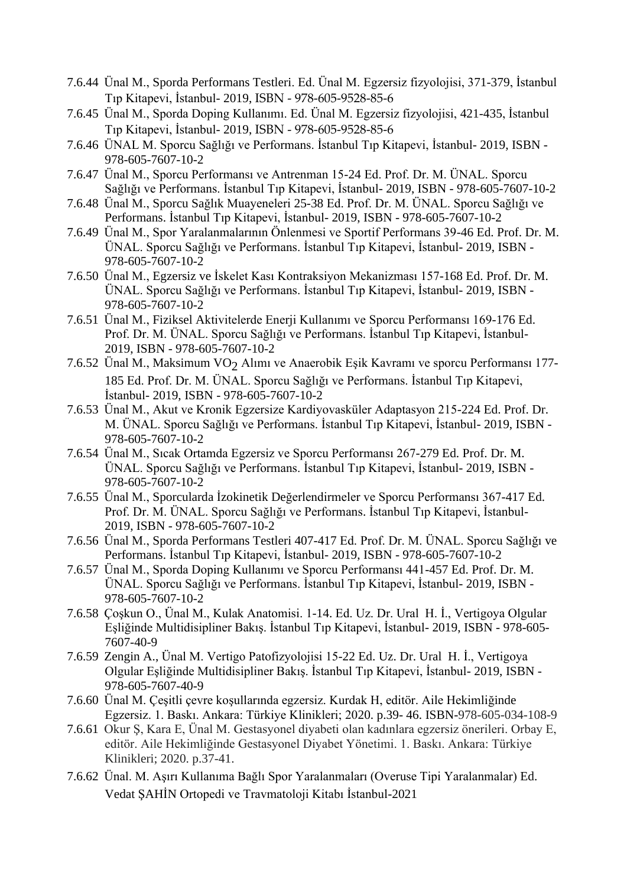- 7.6.44 Ünal M., Sporda Performans Testleri. Ed. Ünal M. Egzersiz fizyolojisi, 371-379, İstanbul Tıp Kitapevi, İstanbul- 2019, ISBN - 978-605-9528-85-6
- 7.6.45 Ünal M., Sporda Doping Kullanımı. Ed. Ünal M. Egzersiz fizyolojisi, 421-435, İstanbul Tıp Kitapevi, İstanbul- 2019, ISBN - 978-605-9528-85-6
- 7.6.46 ÜNAL M. Sporcu Sağlığı ve Performans. İstanbul Tıp Kitapevi, İstanbul- 2019, ISBN 978-605-7607-10-2
- 7.6.47 Ünal M., Sporcu Performansı ve Antrenman 15-24 Ed. Prof. Dr. M. ÜNAL. Sporcu Sağlığı ve Performans. İstanbul Tıp Kitapevi, İstanbul- 2019, ISBN - 978-605-7607-10-2
- 7.6.48 Ünal M., Sporcu Sağlık Muayeneleri 25-38 Ed. Prof. Dr. M. ÜNAL. Sporcu Sağlığı ve Performans. İstanbul Tıp Kitapevi, İstanbul- 2019, ISBN - 978-605-7607-10-2
- 7.6.49 Ünal M., Spor Yaralanmalarının Önlenmesi ve Sportif Performans 39-46 Ed. Prof. Dr. M. ÜNAL. Sporcu Sağlığı ve Performans. İstanbul Tıp Kitapevi, İstanbul- 2019, ISBN - 978-605-7607-10-2
- 7.6.50 Ünal M., Egzersiz ve İskelet Kası Kontraksiyon Mekanizması 157-168 Ed. Prof. Dr. M. ÜNAL. Sporcu Sağlığı ve Performans. İstanbul Tıp Kitapevi, İstanbul- 2019, ISBN - 978-605-7607-10-2
- 7.6.51 Ünal M., Fiziksel Aktivitelerde Enerji Kullanımı ve Sporcu Performansı 169-176 Ed. Prof. Dr. M. ÜNAL. Sporcu Sağlığı ve Performans. İstanbul Tıp Kitapevi, İstanbul-2019, ISBN - 978-605-7607-10-2
- 7.6.52 Ünal M., Maksimum VO<sub>2</sub> Alımı ve Anaerobik Eşik Kavramı ve sporcu Performansı 177-185 Ed. Prof. Dr. M. ÜNAL. Sporcu Sağlığı ve Performans. İstanbul Tıp Kitapevi, İstanbul- 2019, ISBN - 978-605-7607-10-2
- 7.6.53 Ünal M., Akut ve Kronik Egzersize Kardiyovasküler Adaptasyon 215-224 Ed. Prof. Dr. M. ÜNAL. Sporcu Sağlığı ve Performans. İstanbul Tıp Kitapevi, İstanbul- 2019, ISBN - 978-605-7607-10-2
- 7.6.54 Ünal M., Sıcak Ortamda Egzersiz ve Sporcu Performansı 267-279 Ed. Prof. Dr. M. ÜNAL. Sporcu Sağlığı ve Performans. İstanbul Tıp Kitapevi, İstanbul- 2019, ISBN - 978-605-7607-10-2
- 7.6.55 Ünal M., Sporcularda İzokinetik Değerlendirmeler ve Sporcu Performansı 367-417 Ed. Prof. Dr. M. ÜNAL. Sporcu Sağlığı ve Performans. İstanbul Tıp Kitapevi, İstanbul-2019, ISBN - 978-605-7607-10-2
- 7.6.56 Ünal M., Sporda Performans Testleri 407-417 Ed. Prof. Dr. M. ÜNAL. Sporcu Sağlığı ve Performans. İstanbul Tıp Kitapevi, İstanbul- 2019, ISBN - 978-605-7607-10-2
- 7.6.57 Ünal M., Sporda Doping Kullanımı ve Sporcu Performansı 441-457 Ed. Prof. Dr. M. ÜNAL. Sporcu Sağlığı ve Performans. İstanbul Tıp Kitapevi, İstanbul- 2019, ISBN - 978-605-7607-10-2
- 7.6.58 Çoşkun O., Ünal M., Kulak Anatomisi. 1-14. Ed. Uz. Dr. Ural H. İ., Vertigoya Olgular Eşliğinde Multidisipliner Bakış. İstanbul Tıp Kitapevi, İstanbul- 2019, ISBN - 978-605- 7607-40-9
- 7.6.59 Zengin A., Ünal M. Vertigo Patofizyolojisi 15-22 Ed. Uz. Dr. Ural H. İ., Vertigoya Olgular Eşliğinde Multidisipliner Bakış. İstanbul Tıp Kitapevi, İstanbul- 2019, ISBN - 978-605-7607-40-9
- 7.6.60 Ünal M. Çeşitli çevre koşullarında egzersiz. Kurdak H, editör. Aile Hekimliğinde Egzersiz. 1. Baskı. Ankara: Türkiye Klinikleri; 2020. p.39- 46. ISBN-978-605-034-108-9
- 7.6.61 Okur Ş, Kara E, Ünal M. Gestasyonel diyabeti olan kadınlara egzersiz önerileri. Orbay E, editör. Aile Hekimliğinde Gestasyonel Diyabet Yönetimi. 1. Baskı. Ankara: Türkiye Klinikleri; 2020. p.37-41.
- 7.6.62 Ünal. M. Aşırı Kullanıma Bağlı Spor Yaralanmaları (Overuse Tipi Yaralanmalar) Ed. Vedat ŞAHİN Ortopedi ve Travmatoloji Kitabı İstanbul-2021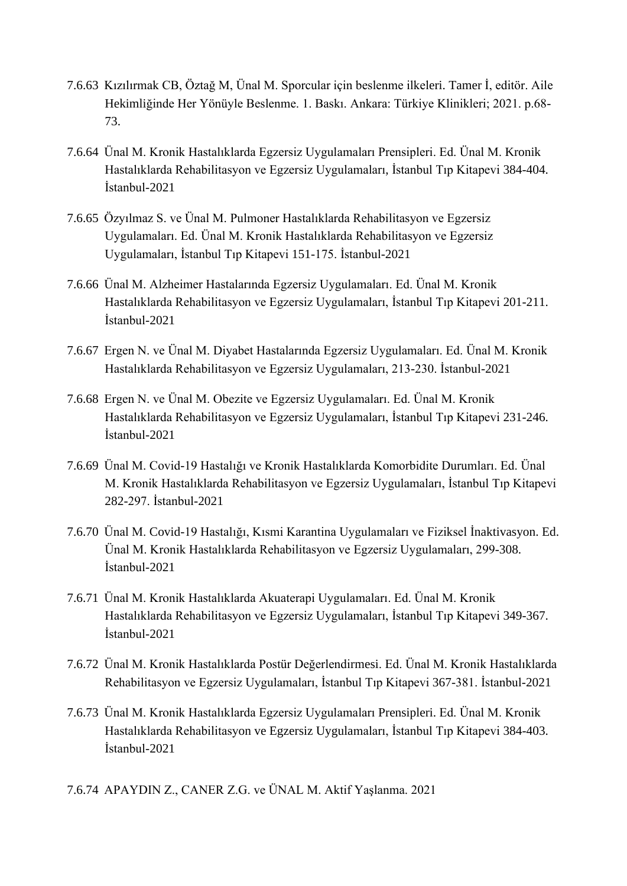- 7.6.63 Kızılırmak CB, Öztağ M, Ünal M. Sporcular için beslenme ilkeleri. Tamer İ, editör. Aile Hekimliğinde Her Yönüyle Beslenme. 1. Baskı. Ankara: Türkiye Klinikleri; 2021. p.68- 73.
- 7.6.64 Ünal M. Kronik Hastalıklarda Egzersiz Uygulamaları Prensipleri. Ed. Ünal M. Kronik Hastalıklarda Rehabilitasyon ve Egzersiz Uygulamaları, İstanbul Tıp Kitapevi 384-404. İstanbul-2021
- 7.6.65 Özyılmaz S. ve Ünal M. Pulmoner Hastalıklarda Rehabilitasyon ve Egzersiz Uygulamaları. Ed. Ünal M. Kronik Hastalıklarda Rehabilitasyon ve Egzersiz Uygulamaları, İstanbul Tıp Kitapevi 151-175. İstanbul-2021
- 7.6.66 Ünal M. Alzheimer Hastalarında Egzersiz Uygulamaları. Ed. Ünal M. Kronik Hastalıklarda Rehabilitasyon ve Egzersiz Uygulamaları, İstanbul Tıp Kitapevi 201-211. İstanbul-2021
- 7.6.67 Ergen N. ve Ünal M. Diyabet Hastalarında Egzersiz Uygulamaları. Ed. Ünal M. Kronik Hastalıklarda Rehabilitasyon ve Egzersiz Uygulamaları, 213-230. İstanbul-2021
- 7.6.68 Ergen N. ve Ünal M. Obezite ve Egzersiz Uygulamaları. Ed. Ünal M. Kronik Hastalıklarda Rehabilitasyon ve Egzersiz Uygulamaları, İstanbul Tıp Kitapevi 231-246. İstanbul-2021
- 7.6.69 Ünal M. Covid-19 Hastalığı ve Kronik Hastalıklarda Komorbidite Durumları. Ed. Ünal M. Kronik Hastalıklarda Rehabilitasyon ve Egzersiz Uygulamaları, İstanbul Tıp Kitapevi 282-297. İstanbul-2021
- 7.6.70 Ünal M. Covid-19 Hastalığı, Kısmi Karantina Uygulamaları ve Fiziksel İnaktivasyon. Ed. Ünal M. Kronik Hastalıklarda Rehabilitasyon ve Egzersiz Uygulamaları, 299-308. İstanbul-2021
- 7.6.71 Ünal M. Kronik Hastalıklarda Akuaterapi Uygulamaları. Ed. Ünal M. Kronik Hastalıklarda Rehabilitasyon ve Egzersiz Uygulamaları, İstanbul Tıp Kitapevi 349-367. İstanbul-2021
- 7.6.72 Ünal M. Kronik Hastalıklarda Postür Değerlendirmesi. Ed. Ünal M. Kronik Hastalıklarda Rehabilitasyon ve Egzersiz Uygulamaları, İstanbul Tıp Kitapevi 367-381. İstanbul-2021
- 7.6.73 Ünal M. Kronik Hastalıklarda Egzersiz Uygulamaları Prensipleri. Ed. Ünal M. Kronik Hastalıklarda Rehabilitasyon ve Egzersiz Uygulamaları, İstanbul Tıp Kitapevi 384-403. İstanbul-2021
- 7.6.74 APAYDIN Z., CANER Z.G. ve ÜNAL M. Aktif Yaşlanma. 2021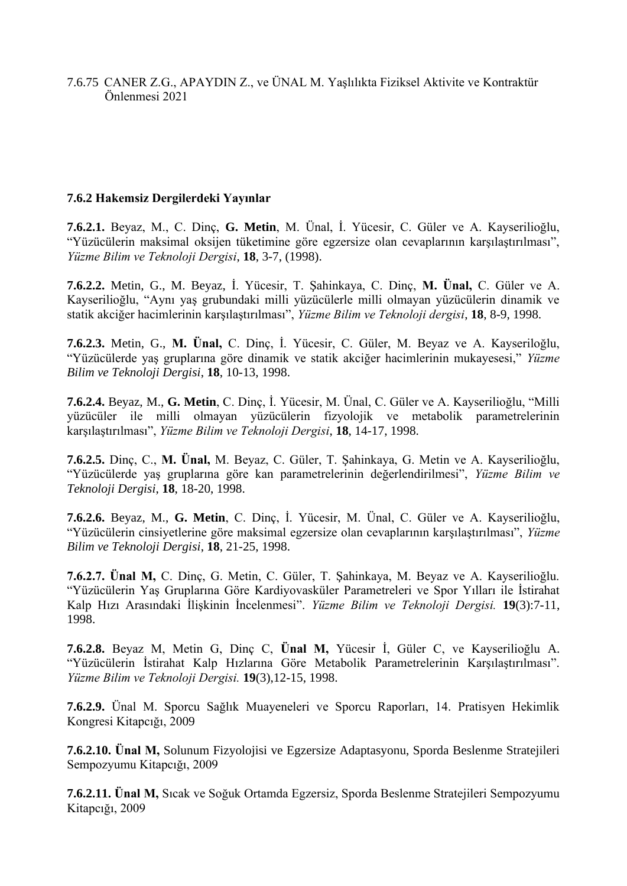7.6.75 CANER Z.G., APAYDIN Z., ve ÜNAL M. Yaşlılıkta Fiziksel Aktivite ve Kontraktür Önlenmesi 2021

### **7.6.2 Hakemsiz Dergilerdeki Yayınlar**

**7.6.2.1.** Beyaz, M., C. Dinç, **G. Metin**, M. Ünal, İ. Yücesir, C. Güler ve A. Kayserilioğlu, "Yüzücülerin maksimal oksijen tüketimine göre egzersize olan cevaplarının karşılaştırılması", *Yüzme Bilim ve Teknoloji Dergisi*, **18**, 3-7, (1998).

**7.6.2.2.** Metin, G., M. Beyaz, İ. Yücesir, T. Şahinkaya, C. Dinç, **M. Ünal,** C. Güler ve A. Kayserilioğlu, "Aynı yaş grubundaki milli yüzücülerle milli olmayan yüzücülerin dinamik ve statik akciğer hacimlerinin karşılaştırılması", *Yüzme Bilim ve Teknoloji dergisi*, **18**, 8-9, 1998.

**7.6.2.3.** Metin, G., **M. Ünal,** C. Dinç, İ. Yücesir, C. Güler, M. Beyaz ve A. Kayseriloğlu, "Yüzücülerde yaş gruplarına göre dinamik ve statik akciğer hacimlerinin mukayesesi," *Yüzme Bilim ve Teknoloji Dergisi*, **18**, 10-13, 1998.

**7.6.2.4.** Beyaz, M., **G. Metin**, C. Dinç, İ. Yücesir, M. Ünal, C. Güler ve A. Kayserilioğlu, "Milli yüzücüler ile milli olmayan yüzücülerin fizyolojik ve metabolik parametrelerinin karşılaştırılması", *Yüzme Bilim ve Teknoloji Dergisi*, **18**, 14-17, 1998.

**7.6.2.5.** Dinç, C., **M. Ünal,** M. Beyaz, C. Güler, T. Şahinkaya, G. Metin ve A. Kayserilioğlu, "Yüzücülerde yaş gruplarına göre kan parametrelerinin değerlendirilmesi", *Yüzme Bilim ve Teknoloji Dergisi*, **18**, 18-20, 1998.

**7.6.2.6.** Beyaz, M., **G. Metin**, C. Dinç, İ. Yücesir, M. Ünal, C. Güler ve A. Kayserilioğlu, "Yüzücülerin cinsiyetlerine göre maksimal egzersize olan cevaplarının karşılaştırılması", *Yüzme Bilim ve Teknoloji Dergisi*, **18**, 21-25, 1998.

**7.6.2.7. Ünal M,** C. Dinç, G. Metin, C. Güler, T. Şahinkaya, M. Beyaz ve A. Kayserilioğlu. "Yüzücülerin Yaş Gruplarına Göre Kardiyovasküler Parametreleri ve Spor Yılları ile İstirahat Kalp Hızı Arasındaki İlişkinin İncelenmesi". *Yüzme Bilim ve Teknoloji Dergisi.* **19**(3):7-11, 1998.

**7.6.2.8.** Beyaz M, Metin G, Dinç C, **Ünal M,** Yücesir İ, Güler C, ve Kayserilioğlu A. "Yüzücülerin İstirahat Kalp Hızlarına Göre Metabolik Parametrelerinin Karşılaştırılması". *Yüzme Bilim ve Teknoloji Dergisi.* **19**(3),12-15, 1998.

**7.6.2.9.** Ünal M. Sporcu Sağlık Muayeneleri ve Sporcu Raporları, 14. Pratisyen Hekimlik Kongresi Kitapcığı, 2009

**7.6.2.10. Ünal M,** Solunum Fizyolojisi ve Egzersize Adaptasyonu, Sporda Beslenme Stratejileri Sempozyumu Kitapcığı, 2009

**7.6.2.11. Ünal M,** Sıcak ve Soğuk Ortamda Egzersiz, Sporda Beslenme Stratejileri Sempozyumu Kitapcığı, 2009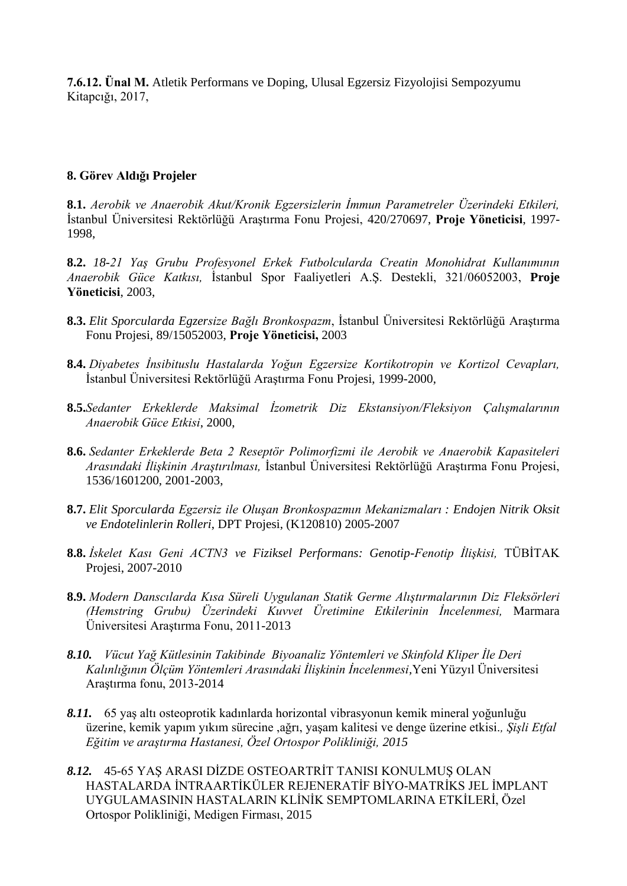**7.6.12. Ünal M.** Atletik Performans ve Doping, Ulusal Egzersiz Fizyolojisi Sempozyumu Kitapcığı, 2017,

#### **8. Görev Aldığı Projeler**

**8.1.** *Aerobik ve Anaerobik Akut/Kronik Egzersizlerin İmmun Parametreler Üzerindeki Etkileri,* İstanbul Üniversitesi Rektörlüğü Araştırma Fonu Projesi, 420/270697, **Proje Yöneticisi**, 1997- 1998,

**8.2.** *18-21 Yaş Grubu Profesyonel Erkek Futbolcularda Creatin Monohidrat Kullanımının Anaerobik Güce Katkısı,* İstanbul Spor Faaliyetleri A.Ş. Destekli, 321/06052003, **Proje Yöneticisi**, 2003,

- **8.3.** *Elit Sporcularda Egzersize Bağlı Bronkospazm*, İstanbul Üniversitesi Rektörlüğü Araştırma Fonu Projesi, 89/15052003, **Proje Yöneticisi,** 2003
- **8.4.** *Diyabetes İnsibituslu Hastalarda Yoğun Egzersize Kortikotropin ve Kortizol Cevapları,* İstanbul Üniversitesi Rektörlüğü Araştırma Fonu Projesi, 1999-2000,
- **8.5.***Sedanter Erkeklerde Maksimal İzometrik Diz Ekstansiyon/Fleksiyon Çalışmalarının Anaerobik Güce Etkisi*, 2000,
- **8.6.** *Sedanter Erkeklerde Beta 2 Reseptör Polimorfizmi ile Aerobik ve Anaerobik Kapasiteleri Arasındaki İlişkinin Araştırılması,* İstanbul Üniversitesi Rektörlüğü Araştırma Fonu Projesi, 1536/1601200, 2001-2003,
- **8.7.** *Elit Sporcularda Egzersiz ile Oluşan Bronkospazmın Mekanizmaları : Endojen Nitrik Oksit ve Endotelinlerin Rolleri*, DPT Projesi, (K120810) 2005-2007
- **8.8.** *İskelet Kası Geni ACTN3 ve Fiziksel Performans: Genotip-Fenotip İlişkisi,* TÜBİTAK Projesi, 2007-2010
- **8.9.** *Modern Danscılarda Kısa Süreli Uygulanan Statik Germe Alıştırmalarının Diz Fleksörleri (Hemstring Grubu) Üzerindeki Kuvvet Üretimine Etkilerinin İncelenmesi,* Marmara Üniversitesi Araştırma Fonu, 2011-2013
- *8.10. Vücut Yağ Kütlesinin Takibinde Biyoanaliz Yöntemleri ve Skinfold Kliper İle Deri Kalınlığının Ölçüm Yöntemleri Arasındaki İlişkinin İncelenmesi,*Yeni Yüzyıl Üniversitesi Araştırma fonu, 2013-2014
- *8.11.* 65 yaş altı osteoprotik kadınlarda horizontal vibrasyonun kemik mineral yoğunluğu üzerine, kemik yapım yıkım sürecine ,ağrı, yaşam kalitesi ve denge üzerine etkisi.*, Şişli Etfal Eğitim ve araştırma Hastanesi, Özel Ortospor Polikliniği, 2015*
- *8.12.* 45-65 YAŞ ARASI DİZDE OSTEOARTRİT TANISI KONULMUŞ OLAN HASTALARDA İNTRAARTİKÜLER REJENERATİF BİYO-MATRİKS JEL İMPLANT UYGULAMASININ HASTALARIN KLİNİK SEMPTOMLARINA ETKİLERİ, Özel Ortospor Polikliniği, Medigen Firması, 2015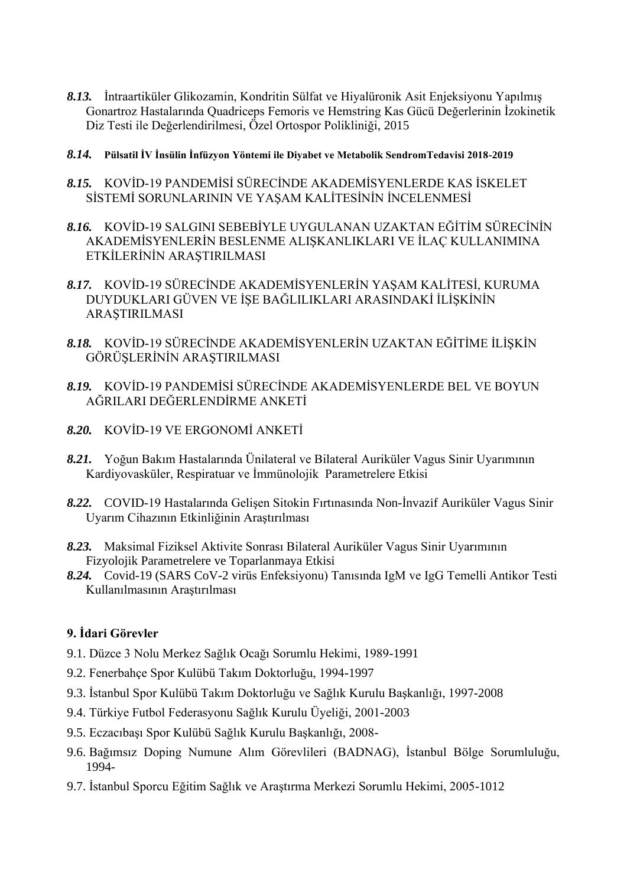- *8.13.* İntraartiküler Glikozamin, Kondritin Sülfat ve Hiyalüronik Asit Enjeksiyonu Yapılmış Gonartroz Hastalarında Quadriceps Femoris ve Hemstring Kas Gücü Değerlerinin İzokinetik Diz Testi ile Değerlendirilmesi, Özel Ortospor Polikliniği, 2015
- *8.14.* **Pülsatil İV İnsülin İnfüzyon Yöntemi ile Diyabet ve Metabolik SendromTedavisi 2018-2019**
- *8.15.* KOVİD-19 PANDEMİSİ SÜRECİNDE AKADEMİSYENLERDE KAS İSKELET SİSTEMİ SORUNLARININ VE YAŞAM KALİTESİNİN İNCELENMESİ
- *8.16.* KOVİD-19 SALGINI SEBEBİYLE UYGULANAN UZAKTAN EĞİTİM SÜRECİNİN AKADEMİSYENLERİN BESLENME ALIŞKANLIKLARI VE İLAÇ KULLANIMINA ETKİLERİNİN ARAŞTIRILMASI
- *8.17.* KOVİD-19 SÜRECİNDE AKADEMİSYENLERİN YAŞAM KALİTESİ, KURUMA DUYDUKLARI GÜVEN VE İŞE BAĞLILIKLARI ARASINDAKİ İLİŞKİNİN ARAŞTIRILMASI
- *8.18.* KOVİD-19 SÜRECİNDE AKADEMİSYENLERİN UZAKTAN EĞİTİME İLİŞKİN GÖRÜŞLERİNİN ARAŞTIRILMASI
- *8.19.* KOVİD-19 PANDEMİSİ SÜRECİNDE AKADEMİSYENLERDE BEL VE BOYUN AĞRILARI DEĞERLENDİRME ANKETİ
- *8.20.* KOVİD-19 VE ERGONOMİ ANKETİ
- *8.21.* Yoğun Bakım Hastalarında Ünilateral ve Bilateral Auriküler Vagus Sinir Uyarımının Kardiyovasküler, Respiratuar ve İmmünolojik Parametrelere Etkisi
- *8.22.* COVID-19 Hastalarında Gelişen Sitokin Fırtınasında Non-İnvazif Auriküler Vagus Sinir Uyarım Cihazının Etkinliğinin Araştırılması
- *8.23.* Maksimal Fiziksel Aktivite Sonrası Bilateral Auriküler Vagus Sinir Uyarımının Fizyolojik Parametrelere ve Toparlanmaya Etkisi
- *8.24.* Covid-19 (SARS CoV-2 virüs Enfeksiyonu) Tanısında IgM ve IgG Temelli Antikor Testi Kullanılmasının Araştırılması

### **9. İdari Görevler**

- 9.1. Düzce 3 Nolu Merkez Sağlık Ocağı Sorumlu Hekimi, 1989-1991
- 9.2. Fenerbahçe Spor Kulübü Takım Doktorluğu, 1994-1997
- 9.3. İstanbul Spor Kulübü Takım Doktorluğu ve Sağlık Kurulu Başkanlığı, 1997-2008
- 9.4. Türkiye Futbol Federasyonu Sağlık Kurulu Üyeliği, 2001-2003
- 9.5. Eczacıbaşı Spor Kulübü Sağlık Kurulu Başkanlığı, 2008-
- 9.6. Bağımsız Doping Numune Alım Görevlileri (BADNAG), İstanbul Bölge Sorumluluğu, 1994-
- 9.7. İstanbul Sporcu Eğitim Sağlık ve Araştırma Merkezi Sorumlu Hekimi, 2005-1012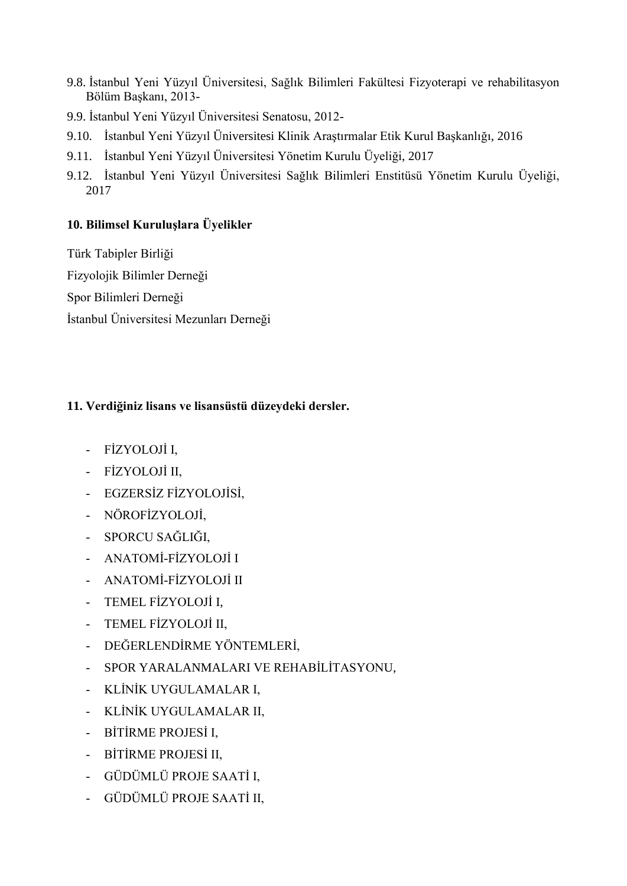- 9.8. İstanbul Yeni Yüzyıl Üniversitesi, Sağlık Bilimleri Fakültesi Fizyoterapi ve rehabilitasyon Bölüm Başkanı, 2013-
- 9.9. İstanbul Yeni Yüzyıl Üniversitesi Senatosu, 2012-
- 9.10. İstanbul Yeni Yüzyıl Üniversitesi Klinik Araştırmalar Etik Kurul Başkanlığı, 2016
- 9.11. İstanbul Yeni Yüzyıl Üniversitesi Yönetim Kurulu Üyeliği, 2017
- 9.12. İstanbul Yeni Yüzyıl Üniversitesi Sağlık Bilimleri Enstitüsü Yönetim Kurulu Üyeliği, 2017

### **10. Bilimsel Kuruluşlara Üyelikler**

Türk Tabipler Birliği Fizyolojik Bilimler Derneği Spor Bilimleri Derneği İstanbul Üniversitesi Mezunları Derneği

# **11. Verdiğiniz lisans ve lisansüstü düzeydeki dersler.**

- FİZYOLOJİ I,
- FİZYOLOJİ II,
- EGZERSİZ FİZYOLOJİSİ,
- NÖROFİZYOLOJİ,
- SPORCU SAĞLIĞI,
- ANATOMİ-FİZYOLOJİ I
- ANATOMİ-FİZYOLOJİ II
- TEMEL FİZYOLOJİ I,
- TEMEL FİZYOLOJİ II,
- DEĞERLENDİRME YÖNTEMLERİ,
- SPOR YARALANMALARI VE REHABİLİTASYONU,
- KLİNİK UYGULAMALAR I,
- KLİNİK UYGULAMALAR II,
- BİTİRME PROJESİ I,
- BİTİRME PROJESİ II,
- GÜDÜMLÜ PROJE SAATİ I,
- GÜDÜMLÜ PROJE SAATİ II,